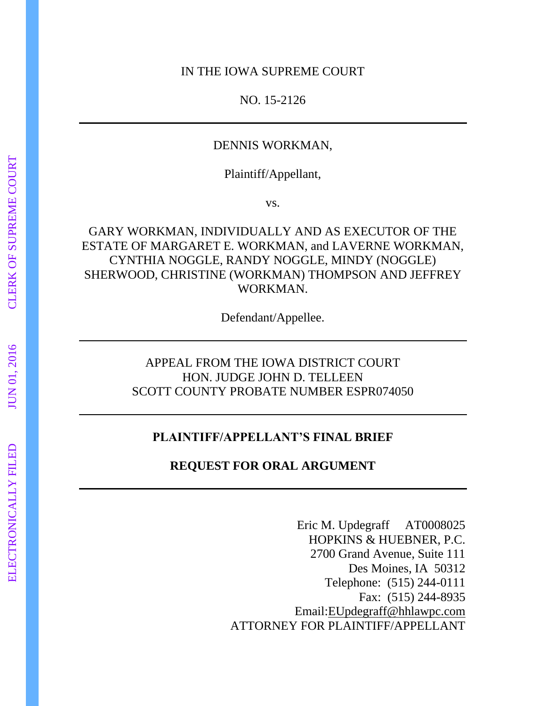#### IN THE IOWA SUPREME COURT

NO. 15-2126

### DENNIS WORKMAN,

Plaintiff/Appellant,

vs.

GARY WORKMAN, INDIVIDUALLY AND AS EXECUTOR OF THE ESTATE OF MARGARET E. WORKMAN, and LAVERNE WORKMAN, CYNTHIA NOGGLE, RANDY NOGGLE, MINDY (NOGGLE) SHERWOOD, CHRISTINE (WORKMAN) THOMPSON AND JEFFREY WORKMAN.

Defendant/Appellee.

APPEAL FROM THE IOWA DISTRICT COURT HON. JUDGE JOHN D. TELLEEN SCOTT COUNTY PROBATE NUMBER ESPR074050

### **PLAINTIFF/APPELLANT'S FINAL BRIEF**

**REQUEST FOR ORAL ARGUMENT** 

Eric M. Updegraff AT0008025 HOPKINS & HUEBNER, P.C. 2700 Grand Avenue, Suite 111 Des Moines, IA 50312 Telephone: (515) 244-0111 Fax: (515) 244-8935 Email[:EUpdegraff@hhlawpc.com](mailto:EUpdegraff@hhlawpc.com) ATTORNEY FOR PLAINTIFF/APPELLANT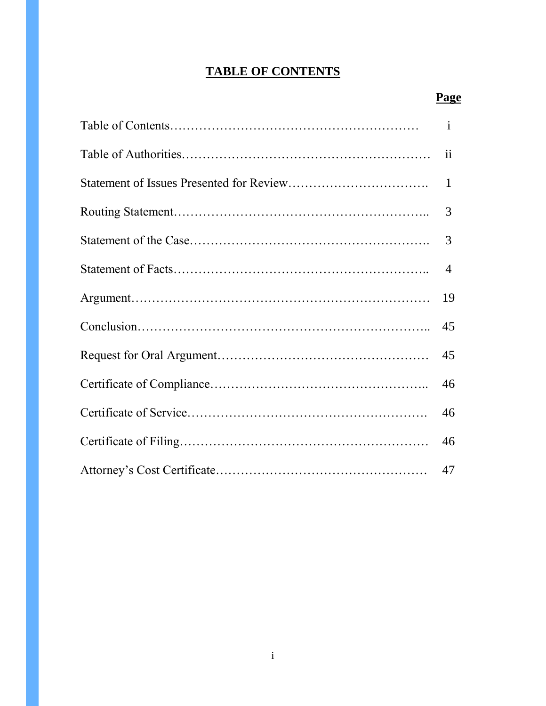# **TABLE OF CONTENTS**

| $\mathbf{i}$   |
|----------------|
| ii             |
| $\mathbf{1}$   |
| 3              |
| 3              |
| $\overline{4}$ |
| 19             |
| 45             |
| 45             |
| 46             |
| 46             |
| 46             |
| 47             |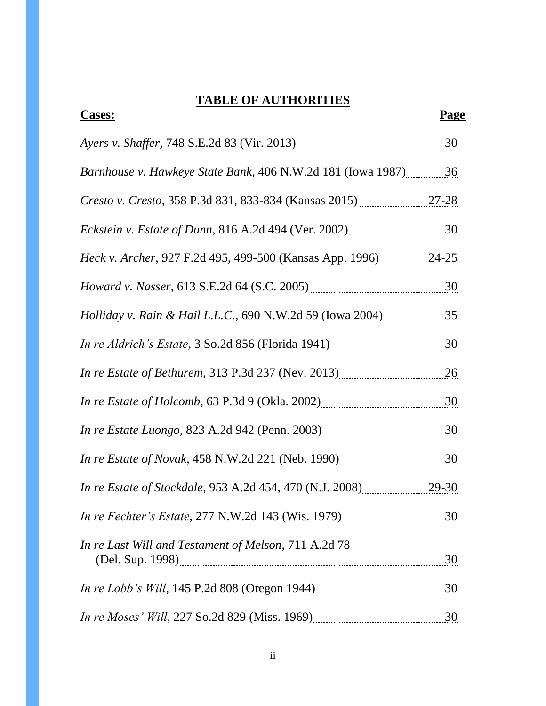# **TABLE OF AUTHORITIES**

| <b>Cases:</b>                                                  | <b>Page</b> |
|----------------------------------------------------------------|-------------|
| Ayers v. Shaffer, 748 S.E.2d 83 (Vir. 2013) 49. [2013]         |             |
| Barnhouse v. Hawkeye State Bank, 406 N.W.2d 181 (Iowa 1987) 36 |             |
| Cresto v. Cresto, 358 P.3d 831, 833-834 (Kansas 2015) 27-28    |             |
|                                                                |             |
| Heck v. Archer, 927 F.2d 495, 499-500 (Kansas App. 1996) 24-25 |             |
| Howard v. Nasser, 613 S.E.2d 64 (S.C. 2005) 30                 |             |
| Holliday v. Rain & Hail L.L.C., 690 N.W.2d 59 (Iowa 2004) 35   |             |
| In re Aldrich's Estate, 3 So.2d 856 (Florida 1941) 30          |             |
| In re Estate of Bethurem, 313 P.3d 237 (Nev. 2013) 26          |             |
| In re Estate of Holcomb, 63 P.3d 9 (Okla. 2002) 2002 30        |             |
| In re Estate Luongo, 823 A.2d 942 (Penn. 2003) 2003            |             |
|                                                                |             |
| In re Estate of Stockdale, 953 A.2d 454, 470 (N.J. 2008) 29-30 |             |
| In re Fechter's Estate, 277 N.W.2d 143 (Wis. 1979)             |             |
| In re Last Will and Testament of Melson, 711 A.2d 78           | 30          |
|                                                                |             |
|                                                                |             |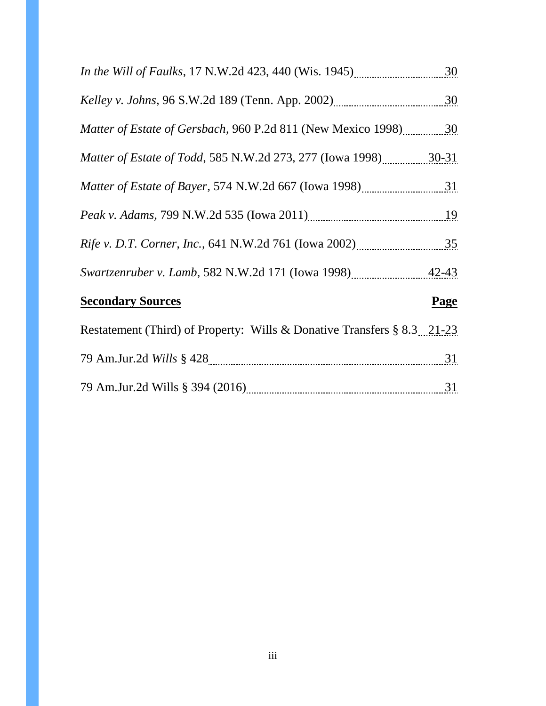| <i>In the Will of Faulks</i> , 17 N.W.2d 423, 440 (Wis. 1945)           | 30          |
|-------------------------------------------------------------------------|-------------|
|                                                                         | 30          |
| <i>Matter of Estate of Gersbach, 960 P.2d 811 (New Mexico 1998)</i> 30  |             |
| <i>Matter of Estate of Todd, 585 N.W.2d 273, 277 (Iowa 1998)</i> 30-31  |             |
| <i>Matter of Estate of Bayer</i> , 574 N.W.2d 667 (Iowa 1998)           |             |
|                                                                         | 19          |
|                                                                         |             |
| Swartzenruber v. Lamb, 582 N.W.2d 171 (Iowa 1998) 42-43                 |             |
| <b>Secondary Sources</b>                                                | <b>Page</b> |
| Restatement (Third) of Property: Wills & Donative Transfers § 8.3 21-23 |             |
|                                                                         |             |
|                                                                         | 31          |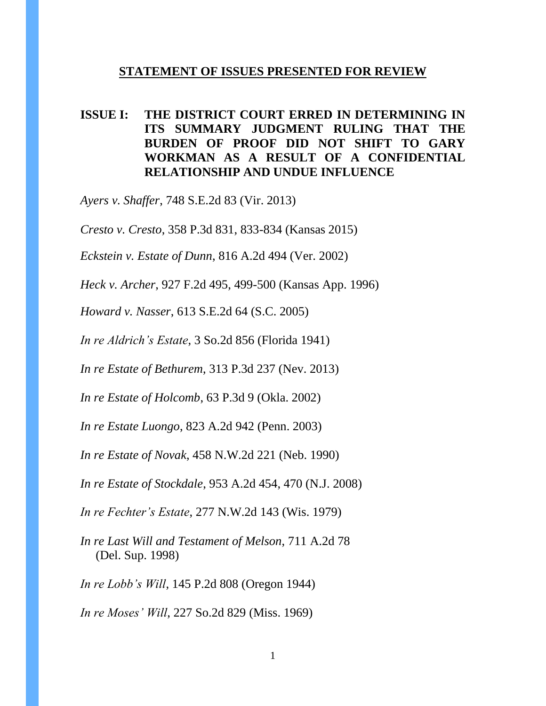#### **STATEMENT OF ISSUES PRESENTED FOR REVIEW**

## **ISSUE I: THE DISTRICT COURT ERRED IN DETERMINING IN ITS SUMMARY JUDGMENT RULING THAT THE BURDEN OF PROOF DID NOT SHIFT TO GARY WORKMAN AS A RESULT OF A CONFIDENTIAL RELATIONSHIP AND UNDUE INFLUENCE**

*Ayers v. Shaffer*, 748 S.E.2d 83 (Vir. 2013)

*Cresto v. Cresto*, 358 P.3d 831, 833-834 (Kansas 2015)

*Eckstein v. Estate of Dunn*, 816 A.2d 494 (Ver. 2002)

*Heck v. Archer*, 927 F.2d 495, 499-500 (Kansas App. 1996)

*Howard v. Nasser*, 613 S.E.2d 64 (S.C. 2005)

*In re Aldrich's Estate*, 3 So.2d 856 (Florida 1941)

*In re Estate of Bethurem*, 313 P.3d 237 (Nev. 2013)

*In re Estate of Holcomb*, 63 P.3d 9 (Okla. 2002)

*In re Estate Luongo*, 823 A.2d 942 (Penn. 2003)

*In re Estate of Novak*, 458 N.W.2d 221 (Neb. 1990)

*In re Estate of Stockdale*, 953 A.2d 454, 470 (N.J. 2008)

*In re Fechter's Estate*, 277 N.W.2d 143 (Wis. 1979)

*In re Last Will and Testament of Melson*, 711 A.2d 78 (Del. Sup. 1998)

*In re Lobb's Will*, 145 P.2d 808 (Oregon 1944)

*In re Moses' Will*, 227 So.2d 829 (Miss. 1969)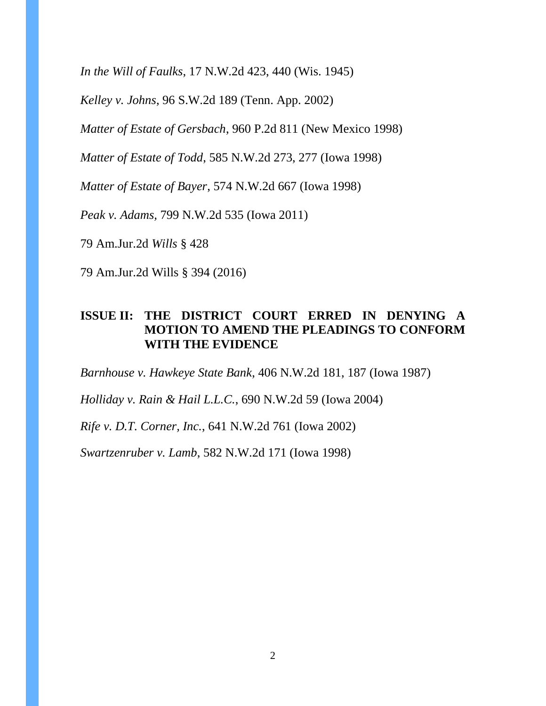*In the Will of Faulks*, 17 N.W.2d 423, 440 (Wis. 1945)

*Kelley v. Johns*, 96 S.W.2d 189 (Tenn. App. 2002)

*Matter of Estate of Gersbach*, 960 P.2d 811 (New Mexico 1998)

*Matter of Estate of Todd*, 585 N.W.2d 273, 277 (Iowa 1998)

*Matter of Estate of Bayer*, 574 N.W.2d 667 (Iowa 1998)

*Peak v. Adams,* 799 N.W.2d 535 (Iowa 2011)

79 Am.Jur.2d *Wills* § 428

79 Am.Jur.2d Wills § 394 (2016)

# **ISSUE II: THE DISTRICT COURT ERRED IN DENYING A MOTION TO AMEND THE PLEADINGS TO CONFORM WITH THE EVIDENCE**

*Barnhouse v. Hawkeye State Bank*, 406 N.W.2d 181, 187 (Iowa 1987)

*Holliday v. Rain & Hail L.L.C.*, 690 N.W.2d 59 (Iowa 2004)

*Rife v. D.T. Corner, Inc.*, 641 N.W.2d 761 (Iowa 2002)

*Swartzenruber v. Lamb*, 582 N.W.2d 171 (Iowa 1998)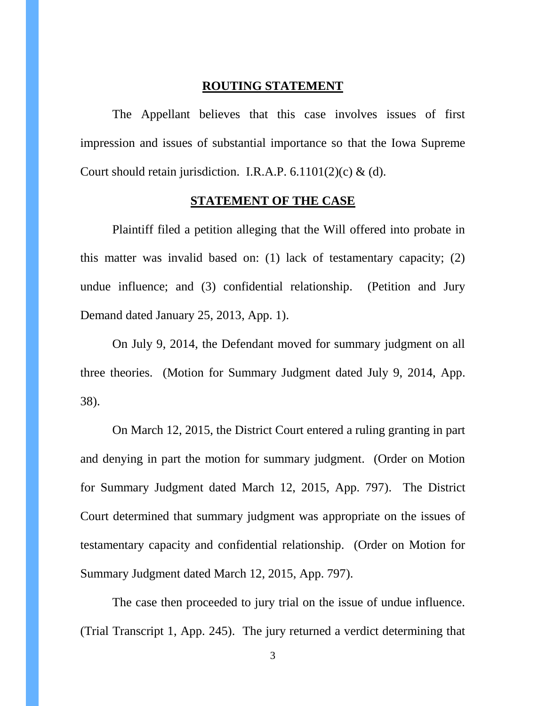#### **ROUTING STATEMENT**

The Appellant believes that this case involves issues of first impression and issues of substantial importance so that the Iowa Supreme Court should retain jurisdiction. I.R.A.P.  $6.1101(2)(c)$  & (d).

# **STATEMENT OF THE CASE**

Plaintiff filed a petition alleging that the Will offered into probate in this matter was invalid based on: (1) lack of testamentary capacity; (2) undue influence; and (3) confidential relationship. (Petition and Jury Demand dated January 25, 2013, App. 1).

On July 9, 2014, the Defendant moved for summary judgment on all three theories. (Motion for Summary Judgment dated July 9, 2014, App. 38).

On March 12, 2015, the District Court entered a ruling granting in part and denying in part the motion for summary judgment. (Order on Motion for Summary Judgment dated March 12, 2015, App. 797). The District Court determined that summary judgment was appropriate on the issues of testamentary capacity and confidential relationship. (Order on Motion for Summary Judgment dated March 12, 2015, App. 797).

The case then proceeded to jury trial on the issue of undue influence. (Trial Transcript 1, App. 245). The jury returned a verdict determining that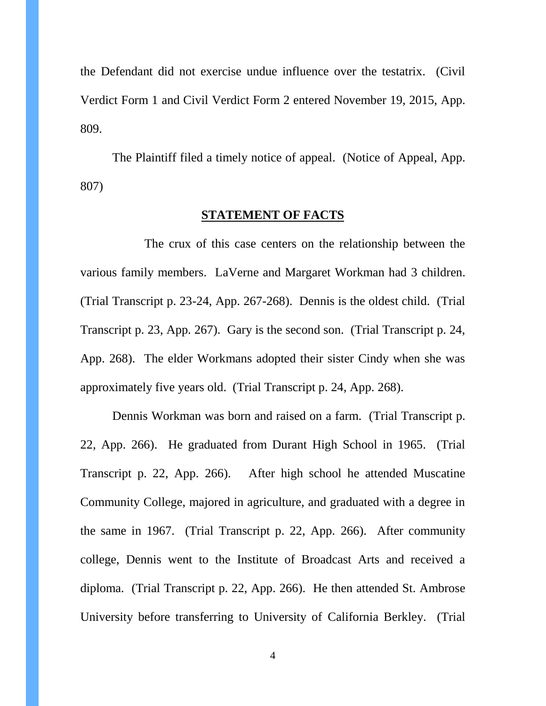the Defendant did not exercise undue influence over the testatrix. (Civil Verdict Form 1 and Civil Verdict Form 2 entered November 19, 2015, App. 809.

The Plaintiff filed a timely notice of appeal. (Notice of Appeal, App. 807)

### **STATEMENT OF FACTS**

The crux of this case centers on the relationship between the various family members. LaVerne and Margaret Workman had 3 children. (Trial Transcript p. 23-24, App. 267-268). Dennis is the oldest child. (Trial Transcript p. 23, App. 267). Gary is the second son. (Trial Transcript p. 24, App. 268). The elder Workmans adopted their sister Cindy when she was approximately five years old. (Trial Transcript p. 24, App. 268).

Dennis Workman was born and raised on a farm. (Trial Transcript p. 22, App. 266). He graduated from Durant High School in 1965. (Trial Transcript p. 22, App. 266). After high school he attended Muscatine Community College, majored in agriculture, and graduated with a degree in the same in 1967. (Trial Transcript p. 22, App. 266). After community college, Dennis went to the Institute of Broadcast Arts and received a diploma. (Trial Transcript p. 22, App. 266). He then attended St. Ambrose University before transferring to University of California Berkley. (Trial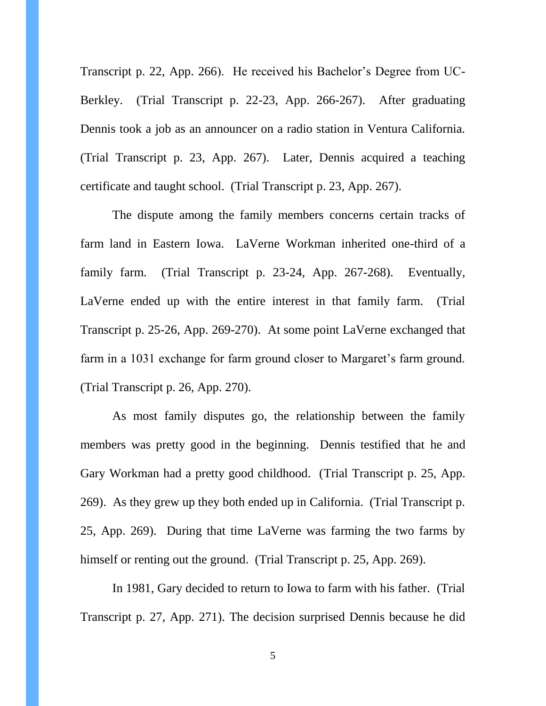Transcript p. 22, App. 266). He received his Bachelor's Degree from UC-Berkley. (Trial Transcript p. 22-23, App. 266-267). After graduating Dennis took a job as an announcer on a radio station in Ventura California. (Trial Transcript p. 23, App. 267). Later, Dennis acquired a teaching certificate and taught school. (Trial Transcript p. 23, App. 267).

The dispute among the family members concerns certain tracks of farm land in Eastern Iowa. LaVerne Workman inherited one-third of a family farm. (Trial Transcript p. 23-24, App. 267-268). Eventually, LaVerne ended up with the entire interest in that family farm. (Trial Transcript p. 25-26, App. 269-270). At some point LaVerne exchanged that farm in a 1031 exchange for farm ground closer to Margaret's farm ground. (Trial Transcript p. 26, App. 270).

As most family disputes go, the relationship between the family members was pretty good in the beginning. Dennis testified that he and Gary Workman had a pretty good childhood. (Trial Transcript p. 25, App. 269). As they grew up they both ended up in California. (Trial Transcript p. 25, App. 269). During that time LaVerne was farming the two farms by himself or renting out the ground. (Trial Transcript p. 25, App. 269).

In 1981, Gary decided to return to Iowa to farm with his father. (Trial Transcript p. 27, App. 271). The decision surprised Dennis because he did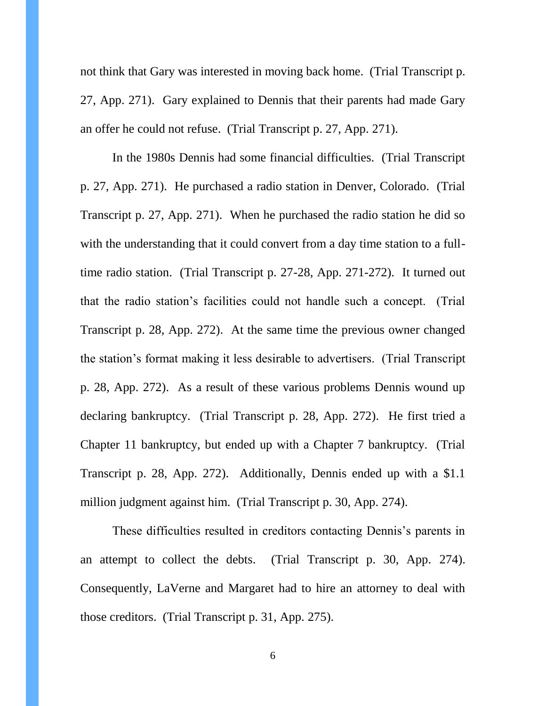not think that Gary was interested in moving back home. (Trial Transcript p. 27, App. 271). Gary explained to Dennis that their parents had made Gary an offer he could not refuse. (Trial Transcript p. 27, App. 271).

In the 1980s Dennis had some financial difficulties. (Trial Transcript p. 27, App. 271). He purchased a radio station in Denver, Colorado. (Trial Transcript p. 27, App. 271). When he purchased the radio station he did so with the understanding that it could convert from a day time station to a fulltime radio station. (Trial Transcript p. 27-28, App. 271-272). It turned out that the radio station's facilities could not handle such a concept. (Trial Transcript p. 28, App. 272). At the same time the previous owner changed the station's format making it less desirable to advertisers. (Trial Transcript p. 28, App. 272). As a result of these various problems Dennis wound up declaring bankruptcy. (Trial Transcript p. 28, App. 272). He first tried a Chapter 11 bankruptcy, but ended up with a Chapter 7 bankruptcy. (Trial Transcript p. 28, App. 272). Additionally, Dennis ended up with a \$1.1 million judgment against him. (Trial Transcript p. 30, App. 274).

These difficulties resulted in creditors contacting Dennis's parents in an attempt to collect the debts. (Trial Transcript p. 30, App. 274). Consequently, LaVerne and Margaret had to hire an attorney to deal with those creditors. (Trial Transcript p. 31, App. 275).

6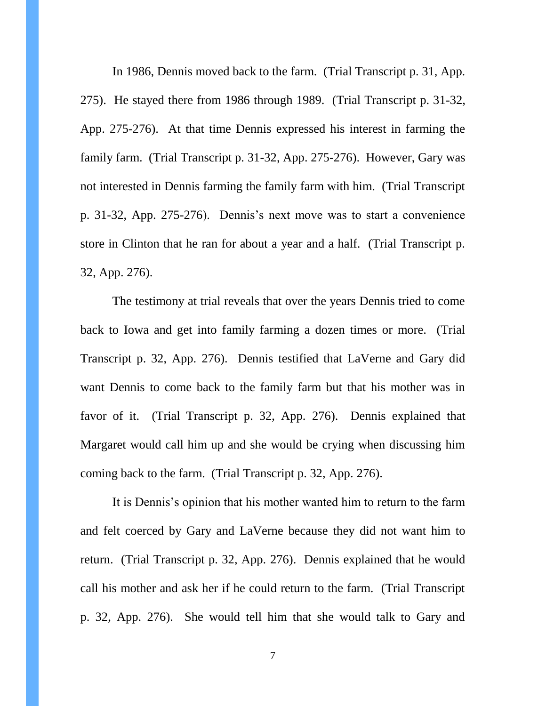In 1986, Dennis moved back to the farm. (Trial Transcript p. 31, App. 275). He stayed there from 1986 through 1989. (Trial Transcript p. 31-32, App. 275-276). At that time Dennis expressed his interest in farming the family farm. (Trial Transcript p. 31-32, App. 275-276). However, Gary was not interested in Dennis farming the family farm with him. (Trial Transcript p. 31-32, App. 275-276). Dennis's next move was to start a convenience store in Clinton that he ran for about a year and a half. (Trial Transcript p. 32, App. 276).

The testimony at trial reveals that over the years Dennis tried to come back to Iowa and get into family farming a dozen times or more. (Trial Transcript p. 32, App. 276). Dennis testified that LaVerne and Gary did want Dennis to come back to the family farm but that his mother was in favor of it. (Trial Transcript p. 32, App. 276). Dennis explained that Margaret would call him up and she would be crying when discussing him coming back to the farm. (Trial Transcript p. 32, App. 276).

It is Dennis's opinion that his mother wanted him to return to the farm and felt coerced by Gary and LaVerne because they did not want him to return. (Trial Transcript p. 32, App. 276). Dennis explained that he would call his mother and ask her if he could return to the farm. (Trial Transcript p. 32, App. 276). She would tell him that she would talk to Gary and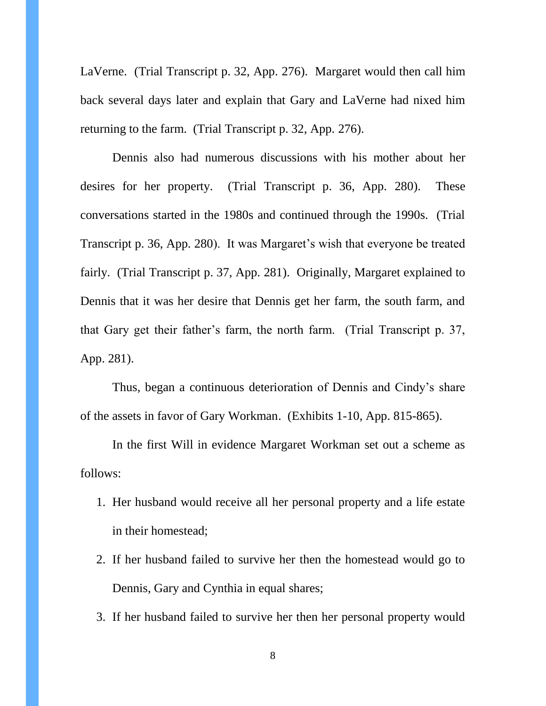LaVerne. (Trial Transcript p. 32, App. 276). Margaret would then call him back several days later and explain that Gary and LaVerne had nixed him returning to the farm. (Trial Transcript p. 32, App. 276).

Dennis also had numerous discussions with his mother about her desires for her property. (Trial Transcript p. 36, App. 280). These conversations started in the 1980s and continued through the 1990s. (Trial Transcript p. 36, App. 280). It was Margaret's wish that everyone be treated fairly. (Trial Transcript p. 37, App. 281). Originally, Margaret explained to Dennis that it was her desire that Dennis get her farm, the south farm, and that Gary get their father's farm, the north farm. (Trial Transcript p. 37, App. 281).

Thus, began a continuous deterioration of Dennis and Cindy's share of the assets in favor of Gary Workman. (Exhibits 1-10, App. 815-865).

In the first Will in evidence Margaret Workman set out a scheme as follows:

- 1. Her husband would receive all her personal property and a life estate in their homestead;
- 2. If her husband failed to survive her then the homestead would go to Dennis, Gary and Cynthia in equal shares;
- 3. If her husband failed to survive her then her personal property would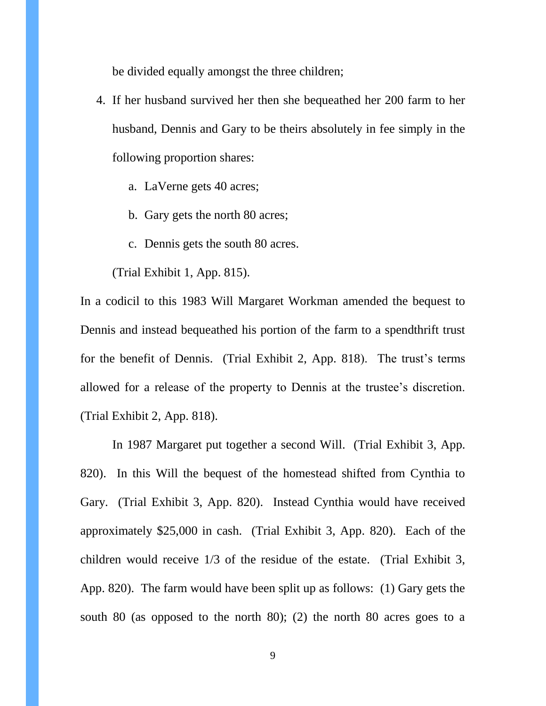be divided equally amongst the three children;

- 4. If her husband survived her then she bequeathed her 200 farm to her husband, Dennis and Gary to be theirs absolutely in fee simply in the following proportion shares:
	- a. LaVerne gets 40 acres;
	- b. Gary gets the north 80 acres;
	- c. Dennis gets the south 80 acres.

(Trial Exhibit 1, App. 815).

In a codicil to this 1983 Will Margaret Workman amended the bequest to Dennis and instead bequeathed his portion of the farm to a spendthrift trust for the benefit of Dennis. (Trial Exhibit 2, App. 818). The trust's terms allowed for a release of the property to Dennis at the trustee's discretion. (Trial Exhibit 2, App. 818).

In 1987 Margaret put together a second Will. (Trial Exhibit 3, App. 820). In this Will the bequest of the homestead shifted from Cynthia to Gary. (Trial Exhibit 3, App. 820). Instead Cynthia would have received approximately \$25,000 in cash. (Trial Exhibit 3, App. 820). Each of the children would receive 1/3 of the residue of the estate. (Trial Exhibit 3, App. 820). The farm would have been split up as follows: (1) Gary gets the south 80 (as opposed to the north 80); (2) the north 80 acres goes to a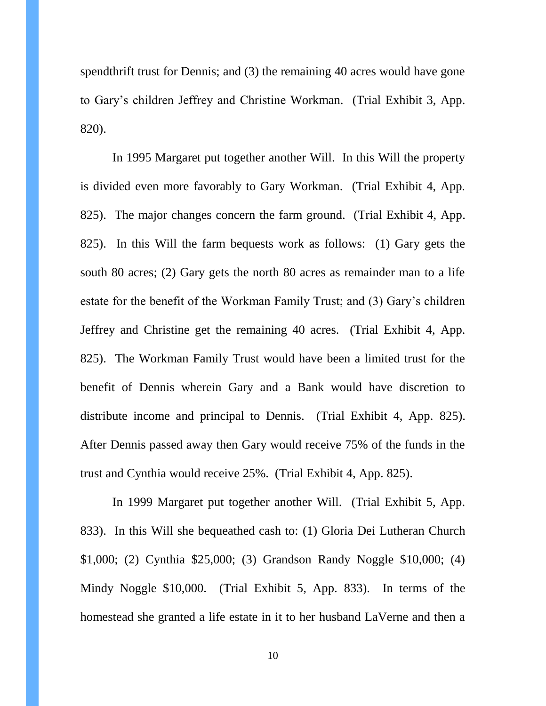spendthrift trust for Dennis; and (3) the remaining 40 acres would have gone to Gary's children Jeffrey and Christine Workman. (Trial Exhibit 3, App. 820).

In 1995 Margaret put together another Will. In this Will the property is divided even more favorably to Gary Workman. (Trial Exhibit 4, App. 825). The major changes concern the farm ground. (Trial Exhibit 4, App. 825). In this Will the farm bequests work as follows: (1) Gary gets the south 80 acres; (2) Gary gets the north 80 acres as remainder man to a life estate for the benefit of the Workman Family Trust; and (3) Gary's children Jeffrey and Christine get the remaining 40 acres. (Trial Exhibit 4, App. 825). The Workman Family Trust would have been a limited trust for the benefit of Dennis wherein Gary and a Bank would have discretion to distribute income and principal to Dennis. (Trial Exhibit 4, App. 825). After Dennis passed away then Gary would receive 75% of the funds in the trust and Cynthia would receive 25%. (Trial Exhibit 4, App. 825).

In 1999 Margaret put together another Will. (Trial Exhibit 5, App. 833). In this Will she bequeathed cash to: (1) Gloria Dei Lutheran Church \$1,000; (2) Cynthia \$25,000; (3) Grandson Randy Noggle \$10,000; (4) Mindy Noggle \$10,000. (Trial Exhibit 5, App. 833). In terms of the homestead she granted a life estate in it to her husband LaVerne and then a

10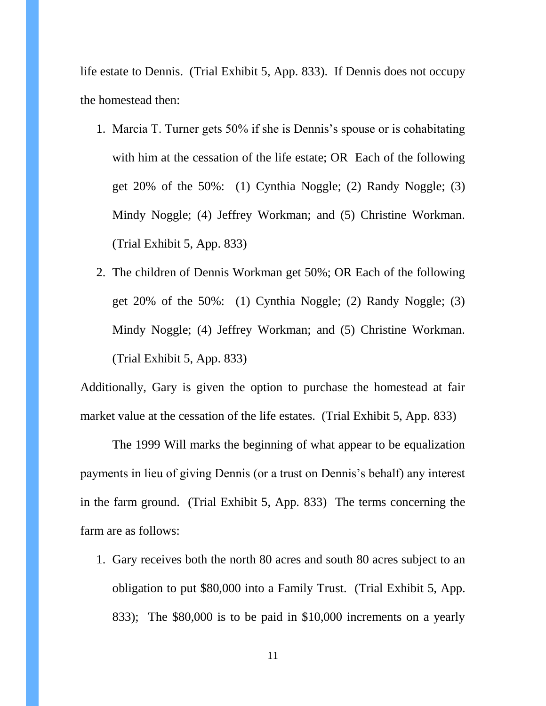life estate to Dennis. (Trial Exhibit 5, App. 833). If Dennis does not occupy the homestead then:

- 1. Marcia T. Turner gets 50% if she is Dennis's spouse or is cohabitating with him at the cessation of the life estate; OR Each of the following get 20% of the 50%: (1) Cynthia Noggle; (2) Randy Noggle; (3) Mindy Noggle; (4) Jeffrey Workman; and (5) Christine Workman. (Trial Exhibit 5, App. 833)
- 2. The children of Dennis Workman get 50%; OR Each of the following get 20% of the 50%: (1) Cynthia Noggle; (2) Randy Noggle; (3) Mindy Noggle; (4) Jeffrey Workman; and (5) Christine Workman. (Trial Exhibit 5, App. 833)

Additionally, Gary is given the option to purchase the homestead at fair market value at the cessation of the life estates. (Trial Exhibit 5, App. 833)

The 1999 Will marks the beginning of what appear to be equalization payments in lieu of giving Dennis (or a trust on Dennis's behalf) any interest in the farm ground. (Trial Exhibit 5, App. 833) The terms concerning the farm are as follows:

1. Gary receives both the north 80 acres and south 80 acres subject to an obligation to put \$80,000 into a Family Trust. (Trial Exhibit 5, App. 833); The \$80,000 is to be paid in \$10,000 increments on a yearly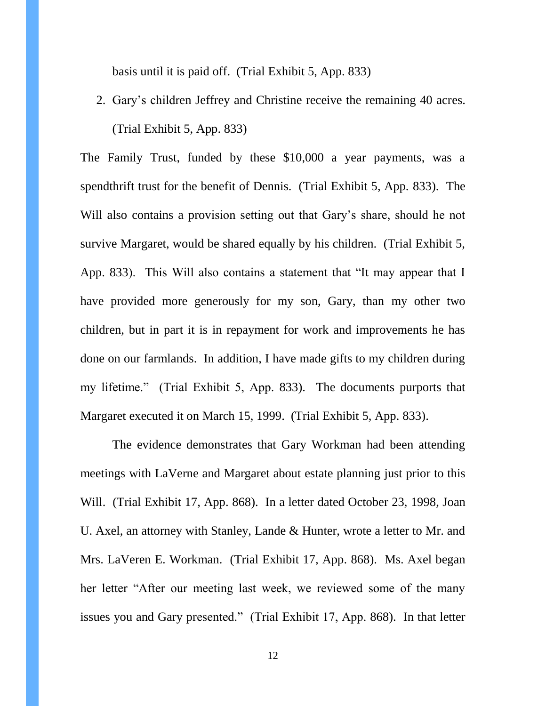basis until it is paid off. (Trial Exhibit 5, App. 833)

2. Gary's children Jeffrey and Christine receive the remaining 40 acres. (Trial Exhibit 5, App. 833)

The Family Trust, funded by these \$10,000 a year payments, was a spendthrift trust for the benefit of Dennis. (Trial Exhibit 5, App. 833). The Will also contains a provision setting out that Gary's share, should he not survive Margaret, would be shared equally by his children. (Trial Exhibit 5, App. 833). This Will also contains a statement that "It may appear that I have provided more generously for my son, Gary, than my other two children, but in part it is in repayment for work and improvements he has done on our farmlands. In addition, I have made gifts to my children during my lifetime." (Trial Exhibit 5, App. 833). The documents purports that Margaret executed it on March 15, 1999. (Trial Exhibit 5, App. 833).

The evidence demonstrates that Gary Workman had been attending meetings with LaVerne and Margaret about estate planning just prior to this Will. (Trial Exhibit 17, App. 868). In a letter dated October 23, 1998, Joan U. Axel, an attorney with Stanley, Lande & Hunter, wrote a letter to Mr. and Mrs. LaVeren E. Workman. (Trial Exhibit 17, App. 868). Ms. Axel began her letter "After our meeting last week, we reviewed some of the many issues you and Gary presented." (Trial Exhibit 17, App. 868). In that letter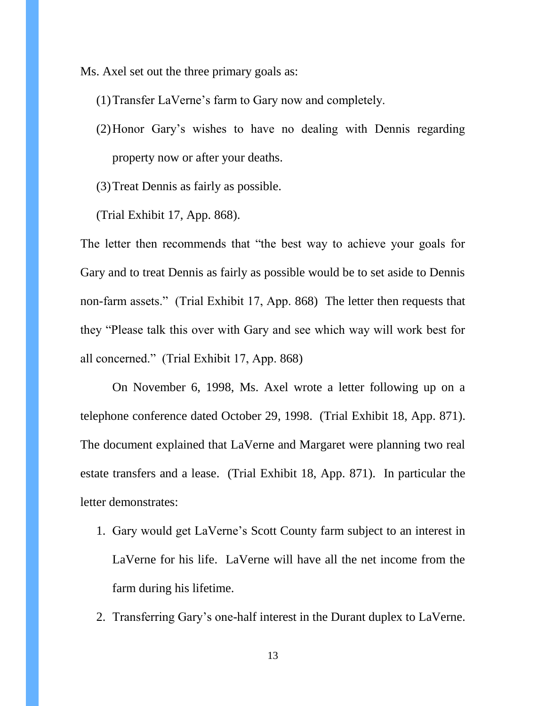Ms. Axel set out the three primary goals as:

- (1)Transfer LaVerne's farm to Gary now and completely.
- (2)Honor Gary's wishes to have no dealing with Dennis regarding property now or after your deaths.
- (3)Treat Dennis as fairly as possible.
- (Trial Exhibit 17, App. 868).

The letter then recommends that "the best way to achieve your goals for Gary and to treat Dennis as fairly as possible would be to set aside to Dennis non-farm assets." (Trial Exhibit 17, App. 868) The letter then requests that they "Please talk this over with Gary and see which way will work best for all concerned." (Trial Exhibit 17, App. 868)

On November 6, 1998, Ms. Axel wrote a letter following up on a telephone conference dated October 29, 1998. (Trial Exhibit 18, App. 871). The document explained that LaVerne and Margaret were planning two real estate transfers and a lease. (Trial Exhibit 18, App. 871). In particular the letter demonstrates:

- 1. Gary would get LaVerne's Scott County farm subject to an interest in LaVerne for his life. LaVerne will have all the net income from the farm during his lifetime.
- 2. Transferring Gary's one-half interest in the Durant duplex to LaVerne.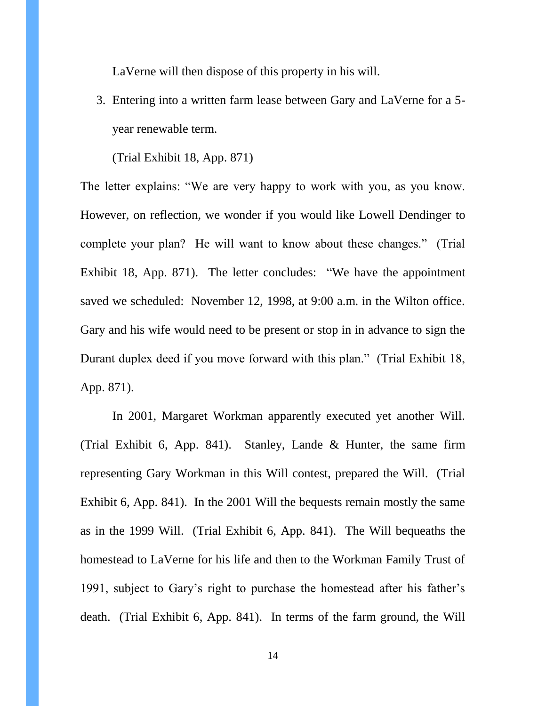LaVerne will then dispose of this property in his will.

3. Entering into a written farm lease between Gary and LaVerne for a 5 year renewable term.

(Trial Exhibit 18, App. 871)

The letter explains: "We are very happy to work with you, as you know. However, on reflection, we wonder if you would like Lowell Dendinger to complete your plan? He will want to know about these changes." (Trial Exhibit 18, App. 871). The letter concludes: "We have the appointment saved we scheduled: November 12, 1998, at 9:00 a.m. in the Wilton office. Gary and his wife would need to be present or stop in in advance to sign the Durant duplex deed if you move forward with this plan." (Trial Exhibit 18, App. 871).

In 2001, Margaret Workman apparently executed yet another Will. (Trial Exhibit 6, App. 841). Stanley, Lande & Hunter, the same firm representing Gary Workman in this Will contest, prepared the Will. (Trial Exhibit 6, App. 841). In the 2001 Will the bequests remain mostly the same as in the 1999 Will. (Trial Exhibit 6, App. 841). The Will bequeaths the homestead to LaVerne for his life and then to the Workman Family Trust of 1991, subject to Gary's right to purchase the homestead after his father's death. (Trial Exhibit 6, App. 841). In terms of the farm ground, the Will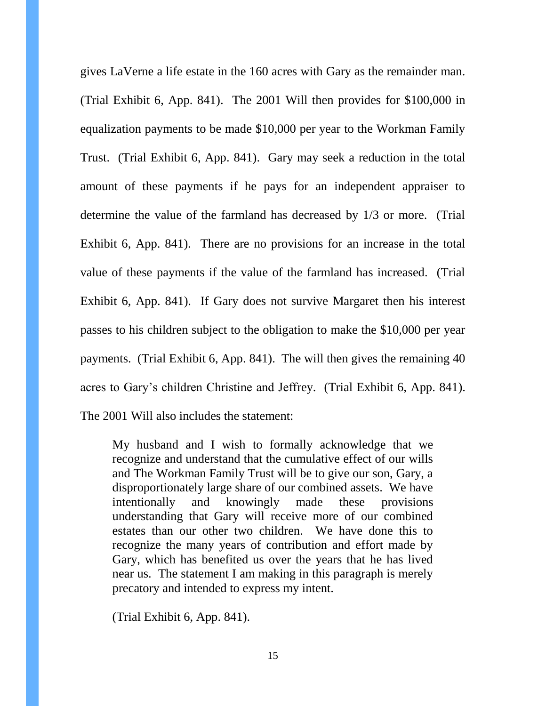gives LaVerne a life estate in the 160 acres with Gary as the remainder man. (Trial Exhibit 6, App. 841). The 2001 Will then provides for \$100,000 in equalization payments to be made \$10,000 per year to the Workman Family Trust. (Trial Exhibit 6, App. 841). Gary may seek a reduction in the total amount of these payments if he pays for an independent appraiser to determine the value of the farmland has decreased by 1/3 or more. (Trial Exhibit 6, App. 841). There are no provisions for an increase in the total value of these payments if the value of the farmland has increased. (Trial Exhibit 6, App. 841). If Gary does not survive Margaret then his interest passes to his children subject to the obligation to make the \$10,000 per year payments. (Trial Exhibit 6, App. 841). The will then gives the remaining 40 acres to Gary's children Christine and Jeffrey. (Trial Exhibit 6, App. 841). The 2001 Will also includes the statement:

My husband and I wish to formally acknowledge that we recognize and understand that the cumulative effect of our wills and The Workman Family Trust will be to give our son, Gary, a disproportionately large share of our combined assets. We have intentionally and knowingly made these provisions understanding that Gary will receive more of our combined estates than our other two children. We have done this to recognize the many years of contribution and effort made by Gary, which has benefited us over the years that he has lived near us. The statement I am making in this paragraph is merely precatory and intended to express my intent.

(Trial Exhibit 6, App. 841).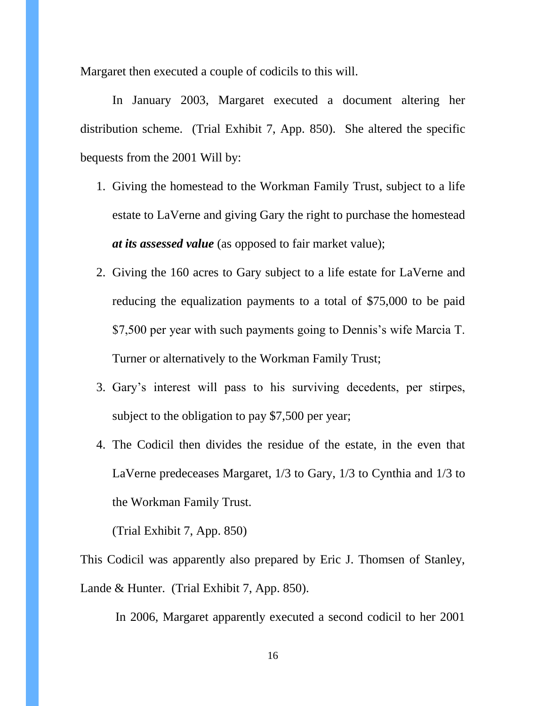Margaret then executed a couple of codicils to this will.

In January 2003, Margaret executed a document altering her distribution scheme. (Trial Exhibit 7, App. 850). She altered the specific bequests from the 2001 Will by:

- 1. Giving the homestead to the Workman Family Trust, subject to a life estate to LaVerne and giving Gary the right to purchase the homestead *at its assessed value* (as opposed to fair market value);
- 2. Giving the 160 acres to Gary subject to a life estate for LaVerne and reducing the equalization payments to a total of \$75,000 to be paid \$7,500 per year with such payments going to Dennis's wife Marcia T. Turner or alternatively to the Workman Family Trust;
- 3. Gary's interest will pass to his surviving decedents, per stirpes, subject to the obligation to pay \$7,500 per year;
- 4. The Codicil then divides the residue of the estate, in the even that LaVerne predeceases Margaret, 1/3 to Gary, 1/3 to Cynthia and 1/3 to the Workman Family Trust.

(Trial Exhibit 7, App. 850)

This Codicil was apparently also prepared by Eric J. Thomsen of Stanley, Lande & Hunter. (Trial Exhibit 7, App. 850).

In 2006, Margaret apparently executed a second codicil to her 2001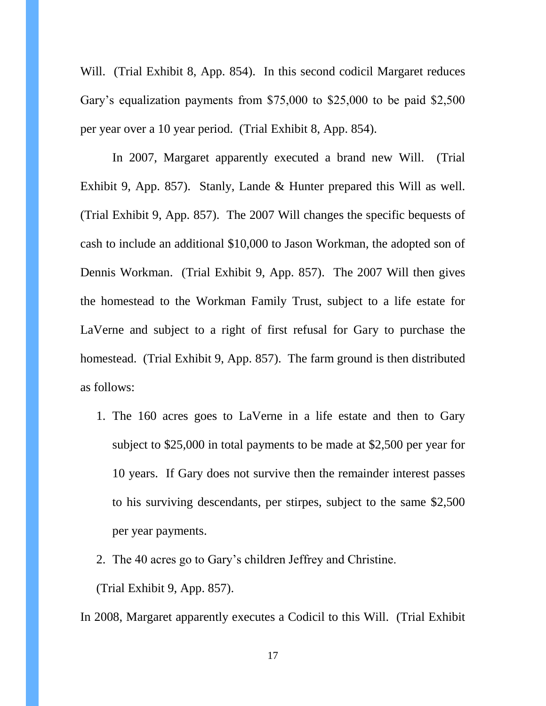Will. (Trial Exhibit 8, App. 854). In this second codicil Margaret reduces Gary's equalization payments from \$75,000 to \$25,000 to be paid \$2,500 per year over a 10 year period. (Trial Exhibit 8, App. 854).

In 2007, Margaret apparently executed a brand new Will. (Trial Exhibit 9, App. 857). Stanly, Lande & Hunter prepared this Will as well. (Trial Exhibit 9, App. 857). The 2007 Will changes the specific bequests of cash to include an additional \$10,000 to Jason Workman, the adopted son of Dennis Workman. (Trial Exhibit 9, App. 857). The 2007 Will then gives the homestead to the Workman Family Trust, subject to a life estate for LaVerne and subject to a right of first refusal for Gary to purchase the homestead. (Trial Exhibit 9, App. 857). The farm ground is then distributed as follows:

- 1. The 160 acres goes to LaVerne in a life estate and then to Gary subject to \$25,000 in total payments to be made at \$2,500 per year for 10 years. If Gary does not survive then the remainder interest passes to his surviving descendants, per stirpes, subject to the same \$2,500 per year payments.
- 2. The 40 acres go to Gary's children Jeffrey and Christine.

(Trial Exhibit 9, App. 857).

In 2008, Margaret apparently executes a Codicil to this Will. (Trial Exhibit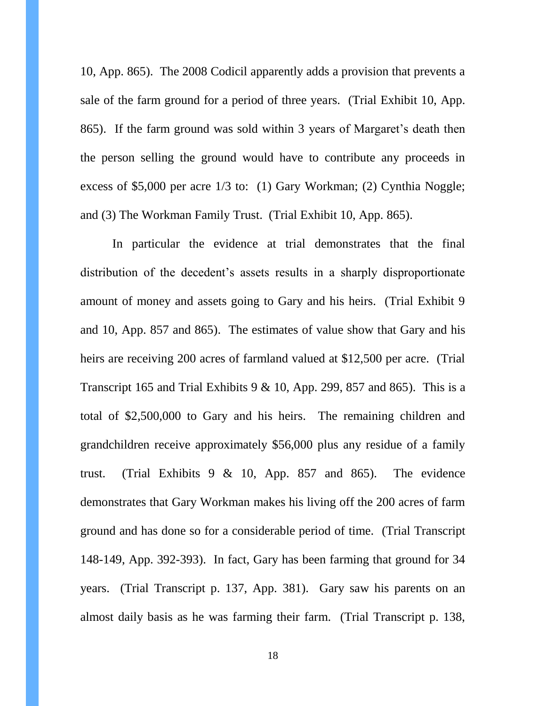10, App. 865). The 2008 Codicil apparently adds a provision that prevents a sale of the farm ground for a period of three years. (Trial Exhibit 10, App. 865). If the farm ground was sold within 3 years of Margaret's death then the person selling the ground would have to contribute any proceeds in excess of \$5,000 per acre 1/3 to: (1) Gary Workman; (2) Cynthia Noggle; and (3) The Workman Family Trust. (Trial Exhibit 10, App. 865).

In particular the evidence at trial demonstrates that the final distribution of the decedent's assets results in a sharply disproportionate amount of money and assets going to Gary and his heirs. (Trial Exhibit 9 and 10, App. 857 and 865). The estimates of value show that Gary and his heirs are receiving 200 acres of farmland valued at \$12,500 per acre. (Trial Transcript 165 and Trial Exhibits 9  $& 10$ , App. 299, 857 and 865). This is a total of \$2,500,000 to Gary and his heirs. The remaining children and grandchildren receive approximately \$56,000 plus any residue of a family trust. (Trial Exhibits 9 & 10, App. 857 and 865). The evidence demonstrates that Gary Workman makes his living off the 200 acres of farm ground and has done so for a considerable period of time. (Trial Transcript 148-149, App. 392-393). In fact, Gary has been farming that ground for 34 years. (Trial Transcript p. 137, App. 381). Gary saw his parents on an almost daily basis as he was farming their farm. (Trial Transcript p. 138,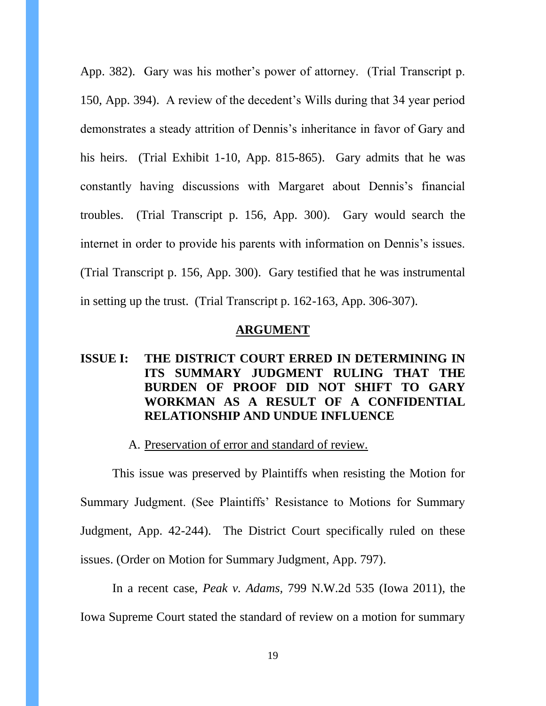App. 382). Gary was his mother's power of attorney. (Trial Transcript p. 150, App. 394). A review of the decedent's Wills during that 34 year period demonstrates a steady attrition of Dennis's inheritance in favor of Gary and his heirs. (Trial Exhibit 1-10, App. 815-865). Gary admits that he was constantly having discussions with Margaret about Dennis's financial troubles. (Trial Transcript p. 156, App. 300). Gary would search the internet in order to provide his parents with information on Dennis's issues. (Trial Transcript p. 156, App. 300). Gary testified that he was instrumental in setting up the trust. (Trial Transcript p. 162-163, App. 306-307).

#### **ARGUMENT**

# **ISSUE I: THE DISTRICT COURT ERRED IN DETERMINING IN ITS SUMMARY JUDGMENT RULING THAT THE BURDEN OF PROOF DID NOT SHIFT TO GARY WORKMAN AS A RESULT OF A CONFIDENTIAL RELATIONSHIP AND UNDUE INFLUENCE**

#### A. Preservation of error and standard of review.

This issue was preserved by Plaintiffs when resisting the Motion for Summary Judgment. (See Plaintiffs' Resistance to Motions for Summary Judgment, App. 42-244). The District Court specifically ruled on these issues. (Order on Motion for Summary Judgment, App. 797).

In a recent case, *Peak v. Adams,* 799 N.W.2d 535 (Iowa 2011), the Iowa Supreme Court stated the standard of review on a motion for summary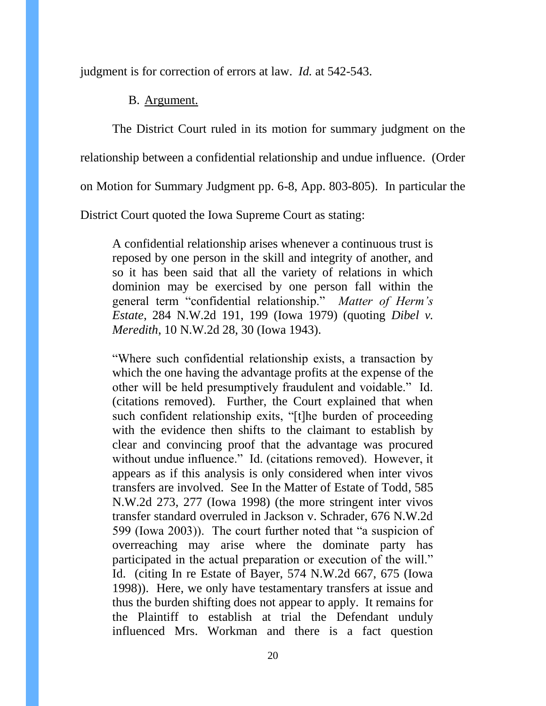judgment is for correction of errors at law. *Id.* at 542-543.

B. Argument.

The District Court ruled in its motion for summary judgment on the relationship between a confidential relationship and undue influence. (Order on Motion for Summary Judgment pp. 6-8, App. 803-805). In particular the District Court quoted the Iowa Supreme Court as stating:

A confidential relationship arises whenever a continuous trust is reposed by one person in the skill and integrity of another, and so it has been said that all the variety of relations in which dominion may be exercised by one person fall within the general term "confidential relationship." *Matter of Herm's Estate*, 284 N.W.2d 191, 199 (Iowa 1979) (quoting *Dibel v. Meredith*, 10 N.W.2d 28, 30 (Iowa 1943).

"Where such confidential relationship exists, a transaction by which the one having the advantage profits at the expense of the other will be held presumptively fraudulent and voidable." Id. (citations removed). Further, the Court explained that when such confident relationship exits, "[t]he burden of proceeding with the evidence then shifts to the claimant to establish by clear and convincing proof that the advantage was procured without undue influence." Id. (citations removed). However, it appears as if this analysis is only considered when inter vivos transfers are involved. See In the Matter of Estate of Todd, 585 N.W.2d 273, 277 (Iowa 1998) (the more stringent inter vivos transfer standard overruled in Jackson v. Schrader, 676 N.W.2d 599 (Iowa 2003)). The court further noted that "a suspicion of overreaching may arise where the dominate party has participated in the actual preparation or execution of the will." Id. (citing In re Estate of Bayer, 574 N.W.2d 667, 675 (Iowa 1998)). Here, we only have testamentary transfers at issue and thus the burden shifting does not appear to apply. It remains for the Plaintiff to establish at trial the Defendant unduly influenced Mrs. Workman and there is a fact question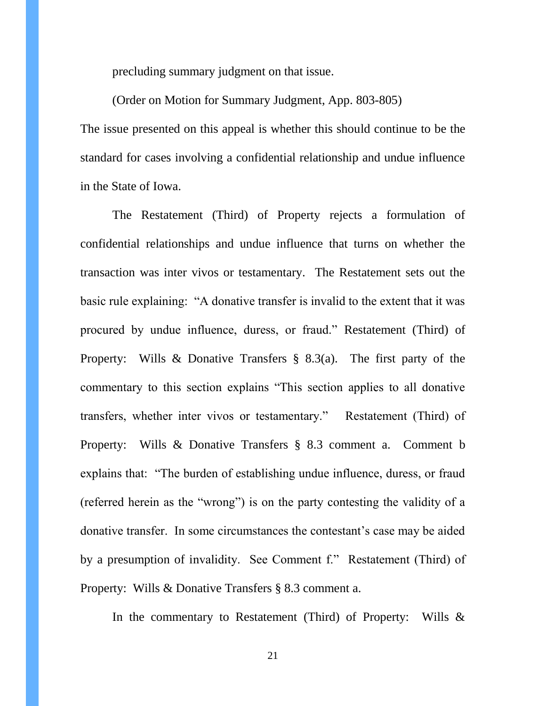precluding summary judgment on that issue.

(Order on Motion for Summary Judgment, App. 803-805)

The issue presented on this appeal is whether this should continue to be the standard for cases involving a confidential relationship and undue influence in the State of Iowa.

The Restatement (Third) of Property rejects a formulation of confidential relationships and undue influence that turns on whether the transaction was inter vivos or testamentary. The Restatement sets out the basic rule explaining: "A donative transfer is invalid to the extent that it was procured by undue influence, duress, or fraud." Restatement (Third) of Property: Wills & Donative Transfers § 8.3(a). The first party of the commentary to this section explains "This section applies to all donative transfers, whether inter vivos or testamentary." Restatement (Third) of Property: Wills & Donative Transfers § 8.3 comment a. Comment b explains that: "The burden of establishing undue influence, duress, or fraud (referred herein as the "wrong") is on the party contesting the validity of a donative transfer. In some circumstances the contestant's case may be aided by a presumption of invalidity. See Comment f." Restatement (Third) of Property: Wills & Donative Transfers § 8.3 comment a.

In the commentary to Restatement (Third) of Property: Wills &

21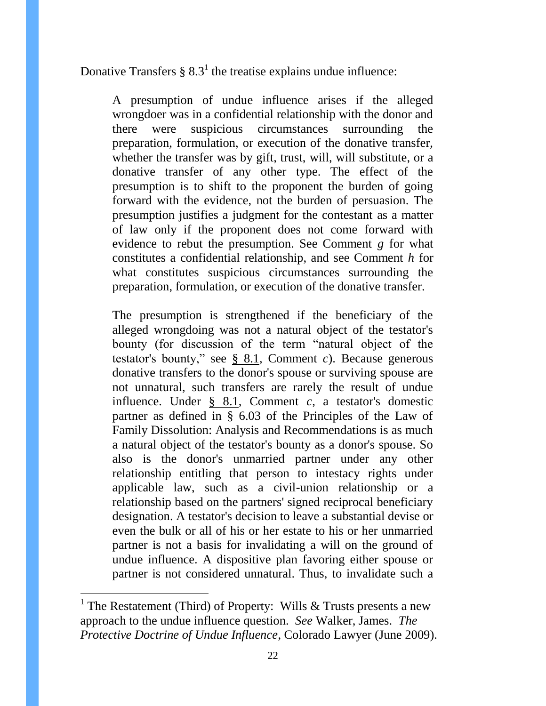Donative Transfers  $\S 8.3<sup>1</sup>$  the treatise explains undue influence:

A presumption of undue influence arises if the alleged wrongdoer was in a confidential relationship with the donor and there were suspicious circumstances surrounding the preparation, formulation, or execution of the donative transfer, whether the transfer was by gift, trust, will, will substitute, or a donative transfer of any other type. The effect of the presumption is to shift to the proponent the burden of going forward with the evidence, not the burden of persuasion. The presumption justifies a judgment for the contestant as a matter of law only if the proponent does not come forward with evidence to rebut the presumption. See Comment *g* for what constitutes a confidential relationship, and see Comment *h* for what constitutes suspicious circumstances surrounding the preparation, formulation, or execution of the donative transfer.

The presumption is strengthened if the beneficiary of the alleged wrongdoing was not a natural object of the testator's bounty (for discussion of the term "natural object of the testator's bounty," see [§ 8.1,](https://a.next.westlaw.com/Link/Document/FullText?findType=Y&pubNum=121668&cite=REST3DPROPWDTS8.1&originatingDoc=I97294904dc1711e28cd00000833f9e5b&refType=DA&originationContext=document&transitionType=DocumentItem&contextData=%28sc.Category%29) Comment *c*). Because generous donative transfers to the donor's spouse or surviving spouse are not unnatural, such transfers are rarely the result of undue influence. Under [§ 8.1,](https://a.next.westlaw.com/Link/Document/FullText?findType=Y&pubNum=121668&cite=REST3DPROPWDTS8.1&originatingDoc=I97294904dc1711e28cd00000833f9e5b&refType=DA&originationContext=document&transitionType=DocumentItem&contextData=%28sc.Category%29) Comment *c*, a testator's domestic partner as defined in § 6.03 of the Principles of the Law of Family Dissolution: Analysis and Recommendations is as much a natural object of the testator's bounty as a donor's spouse. So also is the donor's unmarried partner under any other relationship entitling that person to intestacy rights under applicable law, such as a civil-union relationship or a relationship based on the partners' signed reciprocal beneficiary designation. A testator's decision to leave a substantial devise or even the bulk or all of his or her estate to his or her unmarried partner is not a basis for invalidating a will on the ground of undue influence. A dispositive plan favoring either spouse or partner is not considered unnatural. Thus, to invalidate such a

 $\overline{a}$ 

<sup>&</sup>lt;sup>1</sup> The Restatement (Third) of Property: Wills  $&$  Trusts presents a new approach to the undue influence question. *See* Walker, James. *The Protective Doctrine of Undue Influence*, Colorado Lawyer (June 2009).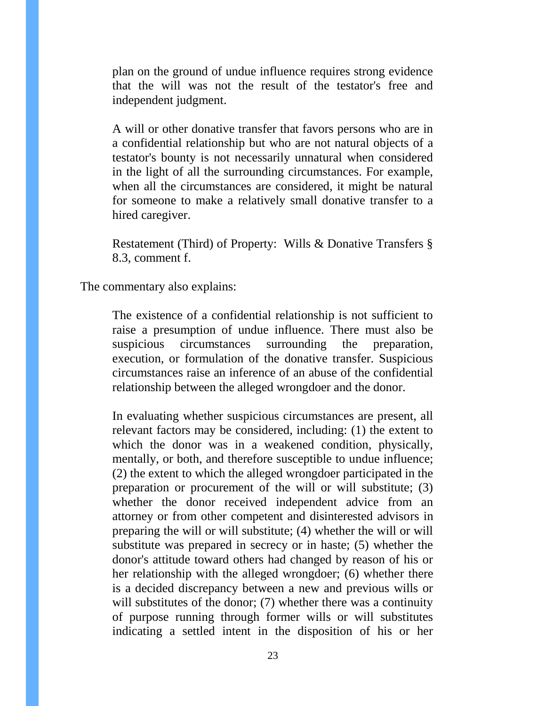plan on the ground of undue influence requires strong evidence that the will was not the result of the testator's free and independent judgment.

A will or other donative transfer that favors persons who are in a confidential relationship but who are not natural objects of a testator's bounty is not necessarily unnatural when considered in the light of all the surrounding circumstances. For example, when all the circumstances are considered, it might be natural for someone to make a relatively small donative transfer to a hired caregiver.

Restatement (Third) of Property: Wills & Donative Transfers § 8.3, comment f.

The commentary also explains:

The existence of a confidential relationship is not sufficient to raise a presumption of undue influence. There must also be suspicious circumstances surrounding the preparation, execution, or formulation of the donative transfer. Suspicious circumstances raise an inference of an abuse of the confidential relationship between the alleged wrongdoer and the donor.

In evaluating whether suspicious circumstances are present, all relevant factors may be considered, including: (1) the extent to which the donor was in a weakened condition, physically, mentally, or both, and therefore susceptible to undue influence; (2) the extent to which the alleged wrongdoer participated in the preparation or procurement of the will or will substitute; (3) whether the donor received independent advice from an attorney or from other competent and disinterested advisors in preparing the will or will substitute; (4) whether the will or will substitute was prepared in secrecy or in haste; (5) whether the donor's attitude toward others had changed by reason of his or her relationship with the alleged wrongdoer; (6) whether there is a decided discrepancy between a new and previous wills or will substitutes of the donor; (7) whether there was a continuity of purpose running through former wills or will substitutes indicating a settled intent in the disposition of his or her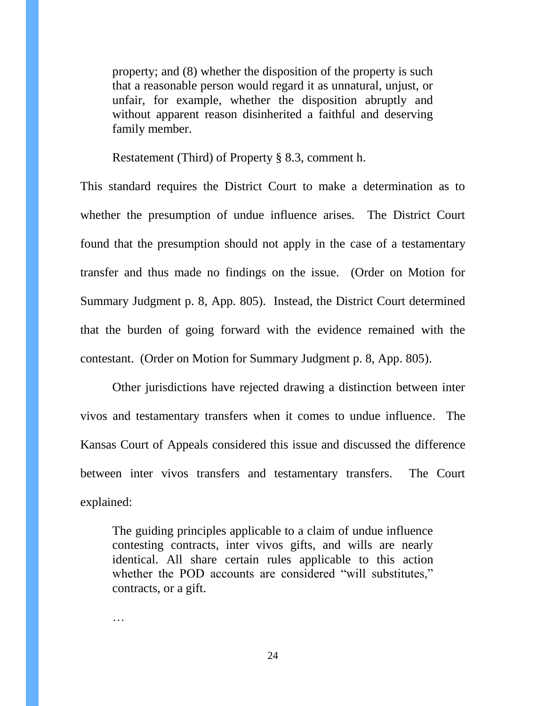property; and (8) whether the disposition of the property is such that a reasonable person would regard it as unnatural, unjust, or unfair, for example, whether the disposition abruptly and without apparent reason disinherited a faithful and deserving family member.

Restatement (Third) of Property § 8.3, comment h.

This standard requires the District Court to make a determination as to whether the presumption of undue influence arises. The District Court found that the presumption should not apply in the case of a testamentary transfer and thus made no findings on the issue. (Order on Motion for Summary Judgment p. 8, App. 805). Instead, the District Court determined that the burden of going forward with the evidence remained with the contestant. (Order on Motion for Summary Judgment p. 8, App. 805).

Other jurisdictions have rejected drawing a distinction between inter vivos and testamentary transfers when it comes to undue influence. The Kansas Court of Appeals considered this issue and discussed the difference between inter vivos transfers and testamentary transfers. The Court explained:

The guiding principles applicable to a claim of undue influence contesting contracts, inter vivos gifts, and wills are nearly identical. All share certain rules applicable to this action whether the POD accounts are considered "will substitutes," contracts, or a gift.

…

24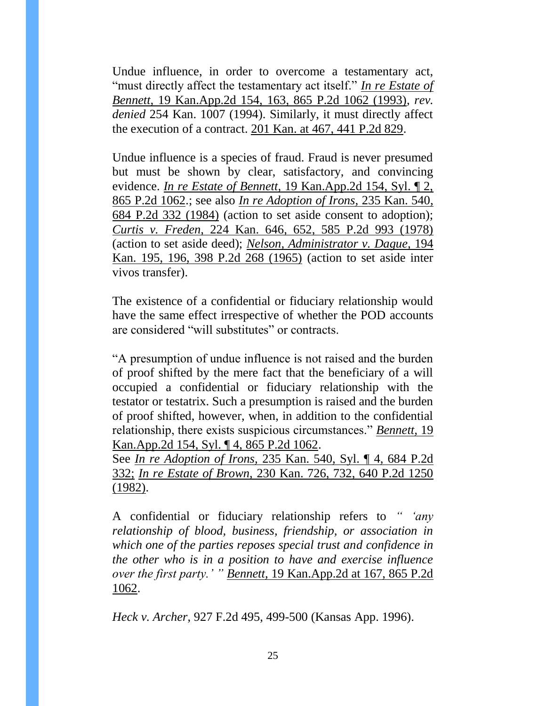Undue influence, in order to overcome a testamentary act, "must directly affect the testamentary act itself." *[In re Estate of](https://a.next.westlaw.com/Link/Document/FullText?findType=Y&serNum=1993245092&pubNum=661&originatingDoc=Ibbf73230f58711d9bf60c1d57ebc853e&refType=RP&originationContext=document&transitionType=DocumentItem&contextData=%28sc.Search%29)  Bennett,* 19 Kan.App.2d 154, [163, 865 P.2d 1062 \(1993\),](https://a.next.westlaw.com/Link/Document/FullText?findType=Y&serNum=1993245092&pubNum=661&originatingDoc=Ibbf73230f58711d9bf60c1d57ebc853e&refType=RP&originationContext=document&transitionType=DocumentItem&contextData=%28sc.Search%29) *rev. denied* 254 Kan. 1007 (1994). Similarly, it must directly affect the execution of a contract. [201 Kan. at 467, 441 P.2d 829.](https://a.next.westlaw.com/Link/Document/FullText?findType=Y&serNum=1968129266&pubNum=661&originatingDoc=Ibbf73230f58711d9bf60c1d57ebc853e&refType=RP&originationContext=document&transitionType=DocumentItem&contextData=%28sc.Search%29)

Undue influence is a species of fraud. Fraud is never presumed but must be shown by clear, satisfactory, and convincing evidence. *In re Estate of Bennett,* [19 Kan.App.2d 154, Syl. ¶ 2,](https://a.next.westlaw.com/Link/Document/FullText?findType=Y&serNum=1993245092&pubNum=661&originatingDoc=Ibbf73230f58711d9bf60c1d57ebc853e&refType=RP&originationContext=document&transitionType=DocumentItem&contextData=%28sc.Search%29)  [865 P.2d 1062.](https://a.next.westlaw.com/Link/Document/FullText?findType=Y&serNum=1993245092&pubNum=661&originatingDoc=Ibbf73230f58711d9bf60c1d57ebc853e&refType=RP&originationContext=document&transitionType=DocumentItem&contextData=%28sc.Search%29); see also *[In re Adoption of Irons,](https://a.next.westlaw.com/Link/Document/FullText?findType=Y&serNum=1984128386&pubNum=661&originatingDoc=Ibbf73230f58711d9bf60c1d57ebc853e&refType=RP&originationContext=document&transitionType=DocumentItem&contextData=%28sc.Search%29)* 235 Kan. 540, [684 P.2d 332 \(1984\)](https://a.next.westlaw.com/Link/Document/FullText?findType=Y&serNum=1984128386&pubNum=661&originatingDoc=Ibbf73230f58711d9bf60c1d57ebc853e&refType=RP&originationContext=document&transitionType=DocumentItem&contextData=%28sc.Search%29) (action to set aside consent to adoption); *Curtis v. Freden,* [224 Kan. 646, 652, 585 P.2d 993 \(1978\)](https://a.next.westlaw.com/Link/Document/FullText?findType=Y&serNum=1978131126&pubNum=661&originatingDoc=Ibbf73230f58711d9bf60c1d57ebc853e&refType=RP&originationContext=document&transitionType=DocumentItem&contextData=%28sc.Search%29) (action to set aside deed); *[Nelson, Administrator v. Dague,](https://a.next.westlaw.com/Link/Document/FullText?findType=Y&serNum=1965122462&pubNum=661&originatingDoc=Ibbf73230f58711d9bf60c1d57ebc853e&refType=RP&originationContext=document&transitionType=DocumentItem&contextData=%28sc.Search%29)* 194 [Kan. 195, 196, 398 P.2d 268 \(1965\)](https://a.next.westlaw.com/Link/Document/FullText?findType=Y&serNum=1965122462&pubNum=661&originatingDoc=Ibbf73230f58711d9bf60c1d57ebc853e&refType=RP&originationContext=document&transitionType=DocumentItem&contextData=%28sc.Search%29) (action to set aside inter vivos transfer).

The existence of a confidential or fiduciary relationship would have the same effect irrespective of whether the POD accounts are considered "will substitutes" or contracts.

"A presumption of undue influence is not raised and the burden of proof shifted by the mere fact that the beneficiary of a will occupied a confidential or fiduciary relationship with the testator or testatrix. Such a presumption is raised and the burden of proof shifted, however, when, in addition to the confidential relationship, there exists suspicious circumstances." *[Bennett,](https://a.next.westlaw.com/Link/Document/FullText?findType=Y&serNum=1993245092&pubNum=661&originatingDoc=Ibbf73230f58711d9bf60c1d57ebc853e&refType=RP&originationContext=document&transitionType=DocumentItem&contextData=%28sc.Search%29)* 19 [Kan.App.2d 154, Syl. ¶ 4, 865 P.2d 1062.](https://a.next.westlaw.com/Link/Document/FullText?findType=Y&serNum=1993245092&pubNum=661&originatingDoc=Ibbf73230f58711d9bf60c1d57ebc853e&refType=RP&originationContext=document&transitionType=DocumentItem&contextData=%28sc.Search%29)

See *In re Adoption of Irons,* [235 Kan. 540, Syl. ¶ 4, 684 P.2d](https://a.next.westlaw.com/Link/Document/FullText?findType=Y&serNum=1984128386&pubNum=661&originatingDoc=Ibbf73230f58711d9bf60c1d57ebc853e&refType=RP&originationContext=document&transitionType=DocumentItem&contextData=%28sc.Search%29)  [332;](https://a.next.westlaw.com/Link/Document/FullText?findType=Y&serNum=1984128386&pubNum=661&originatingDoc=Ibbf73230f58711d9bf60c1d57ebc853e&refType=RP&originationContext=document&transitionType=DocumentItem&contextData=%28sc.Search%29) *In re Estate of Brown,* [230 Kan. 726, 732, 640 P.2d 1250](https://a.next.westlaw.com/Link/Document/FullText?findType=Y&serNum=1982109358&pubNum=661&originatingDoc=Ibbf73230f58711d9bf60c1d57ebc853e&refType=RP&originationContext=document&transitionType=DocumentItem&contextData=%28sc.Search%29)   $(1982)$ .

A confidential or fiduciary relationship refers to *" 'any relationship of blood, business, friendship, or association in which one of the parties reposes special trust and confidence in the other who is in a position to have and exercise influence over the first party.' " Bennett,* [19 Kan.App.2d at 167, 865 P.2d](https://a.next.westlaw.com/Link/Document/FullText?findType=Y&serNum=1993245092&pubNum=661&originatingDoc=Ibbf73230f58711d9bf60c1d57ebc853e&refType=RP&originationContext=document&transitionType=DocumentItem&contextData=%28sc.Search%29)  [1062.](https://a.next.westlaw.com/Link/Document/FullText?findType=Y&serNum=1993245092&pubNum=661&originatingDoc=Ibbf73230f58711d9bf60c1d57ebc853e&refType=RP&originationContext=document&transitionType=DocumentItem&contextData=%28sc.Search%29)

*Heck v. Archer*, 927 F.2d 495, 499-500 (Kansas App. 1996).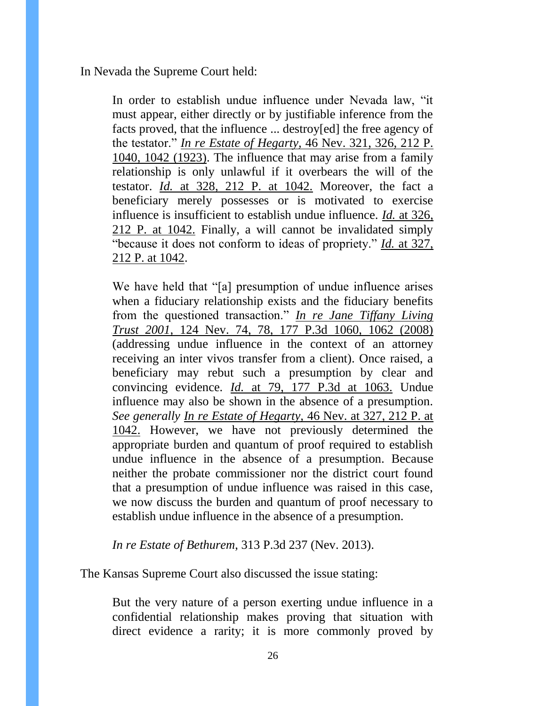In Nevada the Supreme Court held:

In order to establish undue influence under Nevada law, "it must appear, either directly or by justifiable inference from the facts proved, that the influence ... destroy[ed] the free agency of the testator." *In re Estate of Hegarty,* [46 Nev. 321, 326, 212 P.](https://a.next.westlaw.com/Link/Document/FullText?findType=Y&serNum=1923102104&pubNum=660&originatingDoc=Iaec17bc45b6f11e3b48bea39e86d4142&refType=RP&fi=co_pp_sp_660_1042&originationContext=document&transitionType=DocumentItem&contextData=%28sc.Keycite%29#co_pp_sp_660_1042)  [1040, 1042 \(1923\).](https://a.next.westlaw.com/Link/Document/FullText?findType=Y&serNum=1923102104&pubNum=660&originatingDoc=Iaec17bc45b6f11e3b48bea39e86d4142&refType=RP&fi=co_pp_sp_660_1042&originationContext=document&transitionType=DocumentItem&contextData=%28sc.Keycite%29#co_pp_sp_660_1042) The influence that may arise from a family relationship is only unlawful if it overbears the will of the testator. *Id.* [at 328, 212 P. at 1042.](https://a.next.westlaw.com/Link/Document/FullText?findType=Y&serNum=1923102104&pubNum=660&originatingDoc=Iaec17bc45b6f11e3b48bea39e86d4142&refType=RP&fi=co_pp_sp_660_1042&originationContext=document&transitionType=DocumentItem&contextData=%28sc.Keycite%29#co_pp_sp_660_1042) Moreover, the fact a beneficiary merely possesses or is motivated to exercise influence is insufficient to establish undue influence. *Id.* [at 326,](https://a.next.westlaw.com/Link/Document/FullText?findType=Y&serNum=1923102104&pubNum=660&originatingDoc=Iaec17bc45b6f11e3b48bea39e86d4142&refType=RP&fi=co_pp_sp_660_1042&originationContext=document&transitionType=DocumentItem&contextData=%28sc.Keycite%29#co_pp_sp_660_1042)  [212 P. at 1042.](https://a.next.westlaw.com/Link/Document/FullText?findType=Y&serNum=1923102104&pubNum=660&originatingDoc=Iaec17bc45b6f11e3b48bea39e86d4142&refType=RP&fi=co_pp_sp_660_1042&originationContext=document&transitionType=DocumentItem&contextData=%28sc.Keycite%29#co_pp_sp_660_1042) Finally, a will cannot be invalidated simply "because it does not conform to ideas of propriety." *Id.* [at 327,](https://a.next.westlaw.com/Link/Document/FullText?findType=Y&serNum=1923102104&pubNum=660&originatingDoc=Iaec17bc45b6f11e3b48bea39e86d4142&refType=RP&fi=co_pp_sp_660_1042&originationContext=document&transitionType=DocumentItem&contextData=%28sc.Keycite%29#co_pp_sp_660_1042)  [212 P. at 1042.](https://a.next.westlaw.com/Link/Document/FullText?findType=Y&serNum=1923102104&pubNum=660&originatingDoc=Iaec17bc45b6f11e3b48bea39e86d4142&refType=RP&fi=co_pp_sp_660_1042&originationContext=document&transitionType=DocumentItem&contextData=%28sc.Keycite%29#co_pp_sp_660_1042)

We have held that "[a] presumption of undue influence arises when a fiduciary relationship exists and the fiduciary benefits from the questioned transaction." *[In re Jane Tiffany Living](https://a.next.westlaw.com/Link/Document/FullText?findType=Y&serNum=2015412637&pubNum=4645&originatingDoc=Iaec17bc45b6f11e3b48bea39e86d4142&refType=RP&fi=co_pp_sp_4645_1062&originationContext=document&transitionType=DocumentItem&contextData=%28sc.Keycite%29#co_pp_sp_4645_1062)  Trust 2001,* [124 Nev. 74, 78, 177 P.3d 1060, 1062 \(2008\)](https://a.next.westlaw.com/Link/Document/FullText?findType=Y&serNum=2015412637&pubNum=4645&originatingDoc=Iaec17bc45b6f11e3b48bea39e86d4142&refType=RP&fi=co_pp_sp_4645_1062&originationContext=document&transitionType=DocumentItem&contextData=%28sc.Keycite%29#co_pp_sp_4645_1062) (addressing undue influence in the context of an attorney receiving an inter vivos transfer from a client). Once raised, a beneficiary may rebut such a presumption by clear and convincing evidence. *Id.* [at 79, 177 P.3d at 1063.](https://a.next.westlaw.com/Link/Document/FullText?findType=Y&serNum=2015412637&pubNum=4645&originatingDoc=Iaec17bc45b6f11e3b48bea39e86d4142&refType=RP&fi=co_pp_sp_4645_1063&originationContext=document&transitionType=DocumentItem&contextData=%28sc.Keycite%29#co_pp_sp_4645_1063) Undue influence may also be shown in the absence of a presumption. *See generally In re Estate of Hegarty,* [46 Nev. at 327, 212 P. at](https://a.next.westlaw.com/Link/Document/FullText?findType=Y&serNum=1923102104&pubNum=660&originatingDoc=Iaec17bc45b6f11e3b48bea39e86d4142&refType=RP&fi=co_pp_sp_660_1042&originationContext=document&transitionType=DocumentItem&contextData=%28sc.Keycite%29#co_pp_sp_660_1042)  [1042.](https://a.next.westlaw.com/Link/Document/FullText?findType=Y&serNum=1923102104&pubNum=660&originatingDoc=Iaec17bc45b6f11e3b48bea39e86d4142&refType=RP&fi=co_pp_sp_660_1042&originationContext=document&transitionType=DocumentItem&contextData=%28sc.Keycite%29#co_pp_sp_660_1042) However, we have not previously determined the appropriate burden and quantum of proof required to establish undue influence in the absence of a presumption. Because neither the probate commissioner nor the district court found that a presumption of undue influence was raised in this case, we now discuss the burden and quantum of proof necessary to establish undue influence in the absence of a presumption.

*In re Estate of Bethurem*, 313 P.3d 237 (Nev. 2013).

The Kansas Supreme Court also discussed the issue stating:

But the very nature of a person exerting undue influence in a confidential relationship makes proving that situation with direct evidence a rarity; it is more commonly proved by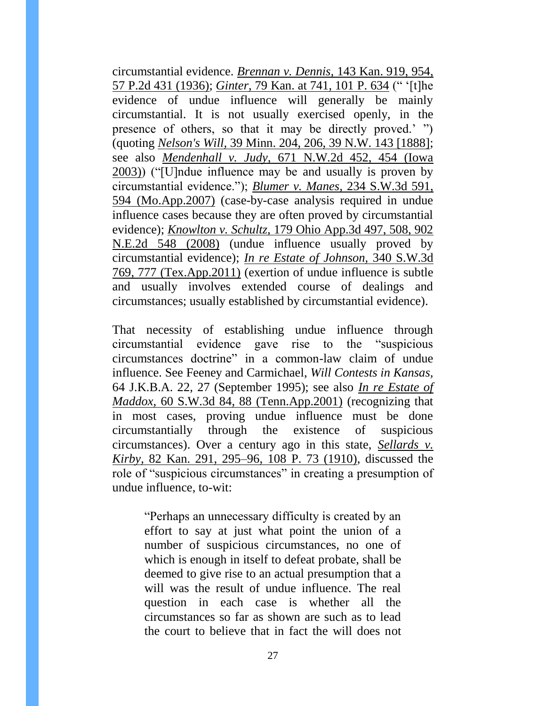circumstantial evidence. *Brennan v. Dennis,* [143 Kan. 919, 954,](https://a.next.westlaw.com/Link/Document/FullText?findType=Y&serNum=1936117058&pubNum=0000661&originatingDoc=I7d096a4f70c711e590d4edf60ce7d742&refType=RP&originationContext=document&transitionType=DocumentItem&contextData=%28sc.Search%29)  [57 P.2d 431 \(1936\);](https://a.next.westlaw.com/Link/Document/FullText?findType=Y&serNum=1936117058&pubNum=0000661&originatingDoc=I7d096a4f70c711e590d4edf60ce7d742&refType=RP&originationContext=document&transitionType=DocumentItem&contextData=%28sc.Search%29) *Ginter,* [79 Kan. at 741, 101 P. 634](https://a.next.westlaw.com/Link/Document/FullText?findType=Y&serNum=1909016801&pubNum=0000660&originatingDoc=I7d096a4f70c711e590d4edf60ce7d742&refType=RP&originationContext=document&transitionType=DocumentItem&contextData=%28sc.Search%29) (" '[t]he evidence of undue influence will generally be mainly circumstantial. It is not usually exercised openly, in the presence of others, so that it may be directly proved.' ") (quoting *Nelson's Will,* [39 Minn. 204, 206, 39 N.W. 143 \[1888\];](https://a.next.westlaw.com/Link/Document/FullText?findType=Y&serNum=1888073824&pubNum=0000594&originatingDoc=I7d096a4f70c711e590d4edf60ce7d742&refType=RP&originationContext=document&transitionType=DocumentItem&contextData=%28sc.Search%29) see also *Mendenhall v. Judy,* [671 N.W.2d 452, 454 \(Iowa](https://a.next.westlaw.com/Link/Document/FullText?findType=Y&serNum=2003828835&pubNum=0000595&originatingDoc=I7d096a4f70c711e590d4edf60ce7d742&refType=RP&fi=co_pp_sp_595_454&originationContext=document&transitionType=DocumentItem&contextData=%28sc.Search%29#co_pp_sp_595_454)  [2003\)\)](https://a.next.westlaw.com/Link/Document/FullText?findType=Y&serNum=2003828835&pubNum=0000595&originatingDoc=I7d096a4f70c711e590d4edf60ce7d742&refType=RP&fi=co_pp_sp_595_454&originationContext=document&transitionType=DocumentItem&contextData=%28sc.Search%29#co_pp_sp_595_454) ("[U]ndue influence may be and usually is proven by circumstantial evidence."); *[Blumer v. Manes,](https://a.next.westlaw.com/Link/Document/FullText?findType=Y&serNum=2013150902&pubNum=0004644&originatingDoc=I7d096a4f70c711e590d4edf60ce7d742&refType=RP&fi=co_pp_sp_4644_594&originationContext=document&transitionType=DocumentItem&contextData=%28sc.Search%29#co_pp_sp_4644_594)* 234 S.W.3d 591, [594 \(Mo.App.2007\)](https://a.next.westlaw.com/Link/Document/FullText?findType=Y&serNum=2013150902&pubNum=0004644&originatingDoc=I7d096a4f70c711e590d4edf60ce7d742&refType=RP&fi=co_pp_sp_4644_594&originationContext=document&transitionType=DocumentItem&contextData=%28sc.Search%29#co_pp_sp_4644_594) (case-by-case analysis required in undue influence cases because they are often proved by circumstantial evidence); *Knowlton v. Schultz,* [179 Ohio App.3d 497, 508, 902](https://a.next.westlaw.com/Link/Document/FullText?findType=Y&serNum=2017487540&pubNum=0000578&originatingDoc=I7d096a4f70c711e590d4edf60ce7d742&refType=RP&originationContext=document&transitionType=DocumentItem&contextData=%28sc.Search%29)  [N.E.2d 548 \(2008\)](https://a.next.westlaw.com/Link/Document/FullText?findType=Y&serNum=2017487540&pubNum=0000578&originatingDoc=I7d096a4f70c711e590d4edf60ce7d742&refType=RP&originationContext=document&transitionType=DocumentItem&contextData=%28sc.Search%29) (undue influence usually proved by circumstantial evidence); *[In re Estate of Johnson,](https://a.next.westlaw.com/Link/Document/FullText?findType=Y&serNum=2024601873&pubNum=0004644&originatingDoc=I7d096a4f70c711e590d4edf60ce7d742&refType=RP&fi=co_pp_sp_4644_777&originationContext=document&transitionType=DocumentItem&contextData=%28sc.Search%29#co_pp_sp_4644_777)* 340 S.W.3d [769, 777 \(Tex.App.2011\)](https://a.next.westlaw.com/Link/Document/FullText?findType=Y&serNum=2024601873&pubNum=0004644&originatingDoc=I7d096a4f70c711e590d4edf60ce7d742&refType=RP&fi=co_pp_sp_4644_777&originationContext=document&transitionType=DocumentItem&contextData=%28sc.Search%29#co_pp_sp_4644_777) (exertion of undue influence is subtle and usually involves extended course of dealings and circumstances; usually established by circumstantial evidence).

That necessity of establishing undue influence through circumstantial evidence gave rise to the "suspicious circumstances doctrine" in a common-law claim of undue influence. See Feeney and Carmichael, *Will Contests in Kansas,* 64 J.K.B.A. 22, 27 (September 1995); see also *[In re Estate of](https://a.next.westlaw.com/Link/Document/FullText?findType=Y&serNum=2001392999&pubNum=0004644&originatingDoc=I7d096a4f70c711e590d4edf60ce7d742&refType=RP&fi=co_pp_sp_4644_88&originationContext=document&transitionType=DocumentItem&contextData=%28sc.Search%29#co_pp_sp_4644_88)  Maddox,* [60 S.W.3d 84, 88 \(Tenn.App.2001\)](https://a.next.westlaw.com/Link/Document/FullText?findType=Y&serNum=2001392999&pubNum=0004644&originatingDoc=I7d096a4f70c711e590d4edf60ce7d742&refType=RP&fi=co_pp_sp_4644_88&originationContext=document&transitionType=DocumentItem&contextData=%28sc.Search%29#co_pp_sp_4644_88) (recognizing that in most cases, proving undue influence must be done circumstantially through the existence of suspicious circumstances). Over a century ago in this state, *[Sellards v.](https://a.next.westlaw.com/Link/Document/FullText?findType=Y&serNum=1910016410&pubNum=0000660&originatingDoc=I7d096a4f70c711e590d4edf60ce7d742&refType=RP&originationContext=document&transitionType=DocumentItem&contextData=%28sc.Search%29)  Kirby,* [82 Kan. 291, 295–96, 108 P. 73 \(1910\),](https://a.next.westlaw.com/Link/Document/FullText?findType=Y&serNum=1910016410&pubNum=0000660&originatingDoc=I7d096a4f70c711e590d4edf60ce7d742&refType=RP&originationContext=document&transitionType=DocumentItem&contextData=%28sc.Search%29) discussed the role of "suspicious circumstances" in creating a presumption of undue influence, to-wit:

"Perhaps an unnecessary difficulty is created by an effort to say at just what point the union of a number of suspicious circumstances, no one of which is enough in itself to defeat probate, shall be deemed to give rise to an actual presumption that a will was the result of undue influence. The real question in each case is whether all the circumstances so far as shown are such as to lead the court to believe that in fact the will does not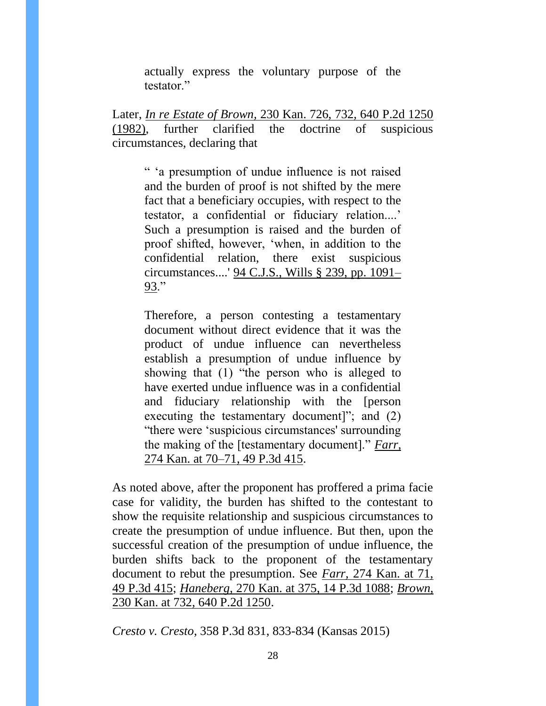actually express the voluntary purpose of the testator."

Later, *In re Estate of Brown,* [230 Kan. 726, 732, 640 P.2d 1250](https://a.next.westlaw.com/Link/Document/FullText?findType=Y&serNum=1982109358&pubNum=0000661&originatingDoc=I7d096a4f70c711e590d4edf60ce7d742&refType=RP&originationContext=document&transitionType=DocumentItem&contextData=%28sc.Search%29)  [\(1982\),](https://a.next.westlaw.com/Link/Document/FullText?findType=Y&serNum=1982109358&pubNum=0000661&originatingDoc=I7d096a4f70c711e590d4edf60ce7d742&refType=RP&originationContext=document&transitionType=DocumentItem&contextData=%28sc.Search%29) further clarified the doctrine of suspicious circumstances, declaring that

" 'a presumption of undue influence is not raised and the burden of proof is not shifted by the mere fact that a beneficiary occupies, with respect to the testator, a confidential or fiduciary relation....' Such a presumption is raised and the burden of proof shifted, however, 'when, in addition to the confidential relation, there exist suspicious circumstances....' [94 C.J.S., Wills § 239, pp. 1091–](https://a.next.westlaw.com/Link/Document/FullText?findType=Y&serNum=0289703835&pubNum=0158470&originatingDoc=I7d096a4f70c711e590d4edf60ce7d742&refType=TS&originationContext=document&transitionType=DocumentItem&contextData=%28sc.Search%29) [93.](https://a.next.westlaw.com/Link/Document/FullText?findType=Y&serNum=0289703835&pubNum=0158470&originatingDoc=I7d096a4f70c711e590d4edf60ce7d742&refType=TS&originationContext=document&transitionType=DocumentItem&contextData=%28sc.Search%29)"

Therefore, a person contesting a testamentary document without direct evidence that it was the product of undue influence can nevertheless establish a presumption of undue influence by showing that (1) "the person who is alleged to have exerted undue influence was in a confidential and fiduciary relationship with the [person executing the testamentary document]"; and (2) "there were 'suspicious circumstances' surrounding the making of the [testamentary document]." *[Farr,](https://a.next.westlaw.com/Link/Document/FullText?findType=Y&serNum=2002431132&pubNum=0004645&originatingDoc=I7d096a4f70c711e590d4edf60ce7d742&refType=RP&originationContext=document&transitionType=DocumentItem&contextData=%28sc.Search%29)* [274 Kan. at 70–71, 49 P.3d 415.](https://a.next.westlaw.com/Link/Document/FullText?findType=Y&serNum=2002431132&pubNum=0004645&originatingDoc=I7d096a4f70c711e590d4edf60ce7d742&refType=RP&originationContext=document&transitionType=DocumentItem&contextData=%28sc.Search%29)

As noted above, after the proponent has proffered a prima facie case for validity, the burden has shifted to the contestant to show the requisite relationship and suspicious circumstances to create the presumption of undue influence. But then, upon the successful creation of the presumption of undue influence, the burden shifts back to the proponent of the testamentary document to rebut the presumption. See *Farr,* [274 Kan. at 71,](https://a.next.westlaw.com/Link/Document/FullText?findType=Y&serNum=2002431132&pubNum=0004645&originatingDoc=I7d096a4f70c711e590d4edf60ce7d742&refType=RP&originationContext=document&transitionType=DocumentItem&contextData=%28sc.Search%29)  [49 P.3d 415;](https://a.next.westlaw.com/Link/Document/FullText?findType=Y&serNum=2002431132&pubNum=0004645&originatingDoc=I7d096a4f70c711e590d4edf60ce7d742&refType=RP&originationContext=document&transitionType=DocumentItem&contextData=%28sc.Search%29) *Haneberg,* [270 Kan. at 375, 14 P.3d 1088;](https://a.next.westlaw.com/Link/Document/FullText?findType=Y&serNum=2000639191&pubNum=0004645&originatingDoc=I7d096a4f70c711e590d4edf60ce7d742&refType=RP&originationContext=document&transitionType=DocumentItem&contextData=%28sc.Search%29) *[Brown,](https://a.next.westlaw.com/Link/Document/FullText?findType=Y&serNum=1982109358&pubNum=0000661&originatingDoc=I7d096a4f70c711e590d4edf60ce7d742&refType=RP&originationContext=document&transitionType=DocumentItem&contextData=%28sc.Search%29)* [230 Kan. at 732, 640 P.2d 1250.](https://a.next.westlaw.com/Link/Document/FullText?findType=Y&serNum=1982109358&pubNum=0000661&originatingDoc=I7d096a4f70c711e590d4edf60ce7d742&refType=RP&originationContext=document&transitionType=DocumentItem&contextData=%28sc.Search%29)

*Cresto v. Cresto*, 358 P.3d 831, 833-834 (Kansas 2015)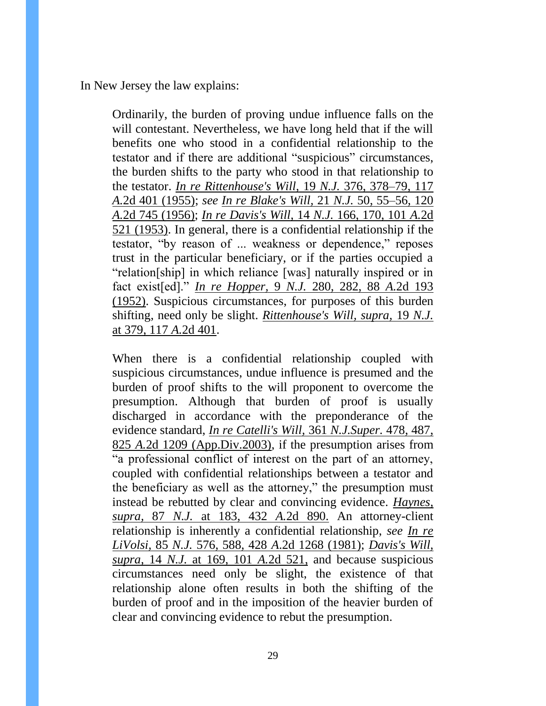In New Jersey the law explains:

Ordinarily, the burden of proving undue influence falls on the will contestant. Nevertheless, we have long held that if the will benefits one who stood in a confidential relationship to the testator and if there are additional "suspicious" circumstances, the burden shifts to the party who stood in that relationship to the testator. *[In re Rittenhouse's Will,](https://a.next.westlaw.com/Link/Document/FullText?findType=Y&serNum=1955111022&pubNum=583&originatingDoc=I8335a4ba5f3111ddb5cbad29a280d47c&refType=RP&fi=co_pp_sp_583_378&originationContext=document&transitionType=DocumentItem&contextData=%28sc.Search%29#co_pp_sp_583_378)* 19 *N.J.* 376, 378–79, 117 *A.*[2d 401 \(1955\);](https://a.next.westlaw.com/Link/Document/FullText?findType=Y&serNum=1955111022&pubNum=583&originatingDoc=I8335a4ba5f3111ddb5cbad29a280d47c&refType=RP&fi=co_pp_sp_583_378&originationContext=document&transitionType=DocumentItem&contextData=%28sc.Search%29#co_pp_sp_583_378) *see [In re Blake's Will,](https://a.next.westlaw.com/Link/Document/FullText?findType=Y&serNum=1956104581&pubNum=583&originatingDoc=I8335a4ba5f3111ddb5cbad29a280d47c&refType=RP&fi=co_pp_sp_583_55&originationContext=document&transitionType=DocumentItem&contextData=%28sc.Search%29#co_pp_sp_583_55)* 21 *N.J.* 50, 55–56, 120 *A.*[2d 745 \(1956\);](https://a.next.westlaw.com/Link/Document/FullText?findType=Y&serNum=1956104581&pubNum=583&originatingDoc=I8335a4ba5f3111ddb5cbad29a280d47c&refType=RP&fi=co_pp_sp_583_55&originationContext=document&transitionType=DocumentItem&contextData=%28sc.Search%29#co_pp_sp_583_55) *[In re Davis's Will,](https://a.next.westlaw.com/Link/Document/FullText?findType=Y&serNum=1954110664&pubNum=583&originatingDoc=I8335a4ba5f3111ddb5cbad29a280d47c&refType=RP&fi=co_pp_sp_583_170&originationContext=document&transitionType=DocumentItem&contextData=%28sc.Search%29#co_pp_sp_583_170)* 14 *N.J.* 166, 170, 101 *A.*2d [521 \(1953\).](https://a.next.westlaw.com/Link/Document/FullText?findType=Y&serNum=1954110664&pubNum=583&originatingDoc=I8335a4ba5f3111ddb5cbad29a280d47c&refType=RP&fi=co_pp_sp_583_170&originationContext=document&transitionType=DocumentItem&contextData=%28sc.Search%29#co_pp_sp_583_170) In general, there is a confidential relationship if the testator, "by reason of ... weakness or dependence," reposes trust in the particular beneficiary, or if the parties occupied a "relation[ship] in which reliance [was] naturally inspired or in fact exist[ed]." *[In re Hopper,](https://a.next.westlaw.com/Link/Document/FullText?findType=Y&serNum=1952110310&pubNum=583&originatingDoc=I8335a4ba5f3111ddb5cbad29a280d47c&refType=RP&fi=co_pp_sp_583_282&originationContext=document&transitionType=DocumentItem&contextData=%28sc.Search%29#co_pp_sp_583_282)* 9 *N.J.* 280, 282, 88 *A.*2d 193 [\(1952\).](https://a.next.westlaw.com/Link/Document/FullText?findType=Y&serNum=1952110310&pubNum=583&originatingDoc=I8335a4ba5f3111ddb5cbad29a280d47c&refType=RP&fi=co_pp_sp_583_282&originationContext=document&transitionType=DocumentItem&contextData=%28sc.Search%29#co_pp_sp_583_282) Suspicious circumstances, for purposes of this burden shifting, need only be slight. *[Rittenhouse's Will, supra,](https://a.next.westlaw.com/Link/Document/FullText?findType=Y&serNum=1955111022&pubNum=583&originatingDoc=I8335a4ba5f3111ddb5cbad29a280d47c&refType=RP&fi=co_pp_sp_583_379&originationContext=document&transitionType=DocumentItem&contextData=%28sc.Search%29#co_pp_sp_583_379)* 19 *N.J.* [at 379, 117](https://a.next.westlaw.com/Link/Document/FullText?findType=Y&serNum=1955111022&pubNum=583&originatingDoc=I8335a4ba5f3111ddb5cbad29a280d47c&refType=RP&fi=co_pp_sp_583_379&originationContext=document&transitionType=DocumentItem&contextData=%28sc.Search%29#co_pp_sp_583_379) *A.*2d 401.

When there is a confidential relationship coupled with suspicious circumstances, undue influence is presumed and the burden of proof shifts to the will proponent to overcome the presumption. Although that burden of proof is usually discharged in accordance with the preponderance of the evidence standard, *[In re Catelli's Will,](https://a.next.westlaw.com/Link/Document/FullText?findType=Y&serNum=2003461356&pubNum=590&originatingDoc=I8335a4ba5f3111ddb5cbad29a280d47c&refType=RP&fi=co_pp_sp_590_487&originationContext=document&transitionType=DocumentItem&contextData=%28sc.Search%29#co_pp_sp_590_487)* 361 *N.J.Super.* 478, 487, 825 *A.*[2d 1209 \(App.Div.2003\),](https://a.next.westlaw.com/Link/Document/FullText?findType=Y&serNum=2003461356&pubNum=590&originatingDoc=I8335a4ba5f3111ddb5cbad29a280d47c&refType=RP&fi=co_pp_sp_590_487&originationContext=document&transitionType=DocumentItem&contextData=%28sc.Search%29#co_pp_sp_590_487) if the presumption arises from "a professional conflict of interest on the part of an attorney, coupled with confidential relationships between a testator and the beneficiary as well as the attorney," the presumption must instead be rebutted by clear and convincing evidence. *[Haynes,](https://a.next.westlaw.com/Link/Document/FullText?findType=Y&serNum=1981132952&pubNum=583&originatingDoc=I8335a4ba5f3111ddb5cbad29a280d47c&refType=RP&fi=co_pp_sp_583_183&originationContext=document&transitionType=DocumentItem&contextData=%28sc.Search%29#co_pp_sp_583_183)  supra,* 87 *N.J.* [at 183, 432](https://a.next.westlaw.com/Link/Document/FullText?findType=Y&serNum=1981132952&pubNum=583&originatingDoc=I8335a4ba5f3111ddb5cbad29a280d47c&refType=RP&fi=co_pp_sp_583_183&originationContext=document&transitionType=DocumentItem&contextData=%28sc.Search%29#co_pp_sp_583_183) *A.*2d 890. An attorney-client relationship is inherently a confidential relationship, *see [In re](https://a.next.westlaw.com/Link/Document/FullText?findType=Y&serNum=1981119755&pubNum=583&originatingDoc=I8335a4ba5f3111ddb5cbad29a280d47c&refType=RP&fi=co_pp_sp_583_588&originationContext=document&transitionType=DocumentItem&contextData=%28sc.Search%29#co_pp_sp_583_588)  LiVolsi,* 85 *N.J.* 576, 588, 428 *A*[.2d 1268 \(1981\);](https://a.next.westlaw.com/Link/Document/FullText?findType=Y&serNum=1981119755&pubNum=583&originatingDoc=I8335a4ba5f3111ddb5cbad29a280d47c&refType=RP&fi=co_pp_sp_583_588&originationContext=document&transitionType=DocumentItem&contextData=%28sc.Search%29#co_pp_sp_583_588) *[Davis's Will,](https://a.next.westlaw.com/Link/Document/FullText?findType=Y&serNum=1954110664&pubNum=583&originatingDoc=I8335a4ba5f3111ddb5cbad29a280d47c&refType=RP&fi=co_pp_sp_583_169&originationContext=document&transitionType=DocumentItem&contextData=%28sc.Search%29#co_pp_sp_583_169)  supra,* 14 *N.J.* [at 169, 101](https://a.next.westlaw.com/Link/Document/FullText?findType=Y&serNum=1954110664&pubNum=583&originatingDoc=I8335a4ba5f3111ddb5cbad29a280d47c&refType=RP&fi=co_pp_sp_583_169&originationContext=document&transitionType=DocumentItem&contextData=%28sc.Search%29#co_pp_sp_583_169) *A.*2d 521, and because suspicious circumstances need only be slight, the existence of that relationship alone often results in both the shifting of the burden of proof and in the imposition of the heavier burden of clear and convincing evidence to rebut the presumption.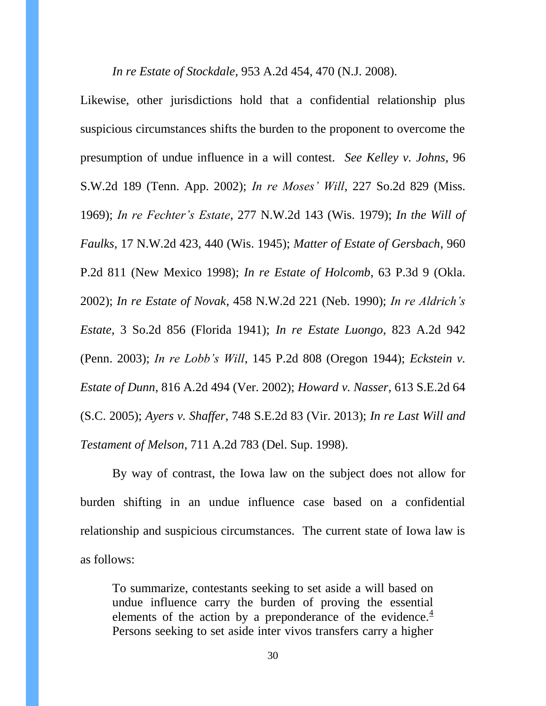*In re Estate of Stockdale*, 953 A.2d 454, 470 (N.J. 2008).

Likewise, other jurisdictions hold that a confidential relationship plus suspicious circumstances shifts the burden to the proponent to overcome the presumption of undue influence in a will contest. *See Kelley v. Johns*, 96 S.W.2d 189 (Tenn. App. 2002); *In re Moses' Will*, 227 So.2d 829 (Miss. 1969); *In re Fechter's Estate*, 277 N.W.2d 143 (Wis. 1979); *In the Will of Faulks*, 17 N.W.2d 423, 440 (Wis. 1945); *Matter of Estate of Gersbach*, 960 P.2d 811 (New Mexico 1998); *In re Estate of Holcomb*, 63 P.3d 9 (Okla. 2002); *In re Estate of Novak*, 458 N.W.2d 221 (Neb. 1990); *In re Aldrich's Estate*, 3 So.2d 856 (Florida 1941); *In re Estate Luongo*, 823 A.2d 942 (Penn. 2003); *In re Lobb's Will*, 145 P.2d 808 (Oregon 1944); *Eckstein v. Estate of Dunn*, 816 A.2d 494 (Ver. 2002); *Howard v. Nasser*, 613 S.E.2d 64 (S.C. 2005); *Ayers v. Shaffer*, 748 S.E.2d 83 (Vir. 2013); *In re Last Will and Testament of Melson*, 711 A.2d 783 (Del. Sup. 1998).

By way of contrast, the Iowa law on the subject does not allow for burden shifting in an undue influence case based on a confidential relationship and suspicious circumstances. The current state of Iowa law is as follows:

To summarize, contestants seeking to set aside a will based on undue influence carry the burden of proving the essential elements of the action by a preponderance of the evidence. $4$ Persons seeking to set aside inter vivos transfers carry a higher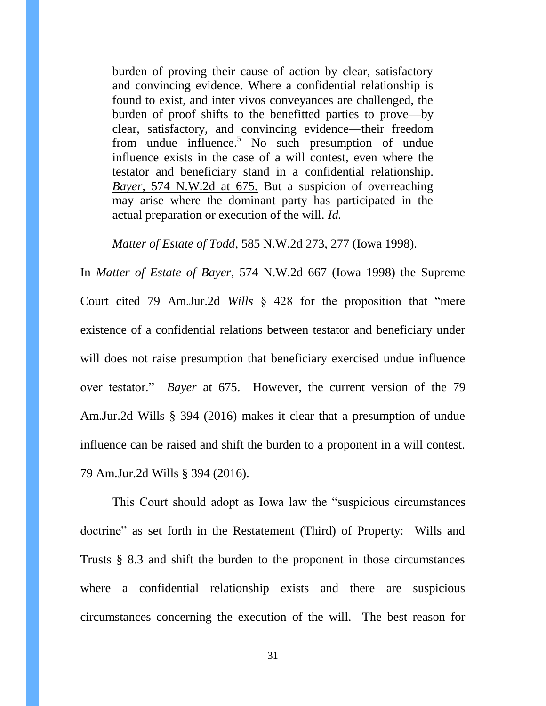burden of proving their cause of action by clear, satisfactory and convincing evidence. Where a confidential relationship is found to exist, and inter vivos conveyances are challenged, the burden of proof shifts to the benefitted parties to prove—by clear, satisfactory, and convincing evidence—their freedom from undue influence.<sup>[5](https://a.next.westlaw.com/Document/I7950ae9aff4411d99439b076ef9ec4de/View/FullText.html?navigationPath=Search%2Fv3%2Fsearch%2Fresults%2Fnavigation%2Fi0ad6040a00000153197af80084de9eb5%3FNav%3DCASE%26fragmentIdentifier%3DI7950ae9aff4411d99439b076ef9ec4de%26startIndex%3D1%26contextData%3D%2528sc.History*oc.Search%2529%26transitionType%3DSearchItem&listSource=Search&listPageSource=ecd0902b29cae7214d55e53216fcf464&list=CASE&rank=2&grading=na&sessionScopeId=4cc867a0e71647e9f37dd634886ac11f&originationContext=Search%20Result&transitionType=SearchItem&contextData=%28sc.History*oc.Search%29#co_footnote_B00551998216828)</sup> No such presumption of undue influence exists in the case of a will contest, even where the testator and beneficiary stand in a confidential relationship. *Bayer,* [574 N.W.2d at 675.](https://a.next.westlaw.com/Link/Document/FullText?findType=Y&serNum=1998036507&pubNum=595&originatingDoc=I7950ae9aff4411d99439b076ef9ec4de&refType=RP&fi=co_pp_sp_595_675&originationContext=document&transitionType=DocumentItem&contextData=%28sc.Search%29#co_pp_sp_595_675) But a suspicion of overreaching may arise where the dominant party has participated in the actual preparation or execution of the will. *Id.*

*Matter of Estate of Todd*, 585 N.W.2d 273, 277 (Iowa 1998).

In *Matter of Estate of Bayer*, 574 N.W.2d 667 (Iowa 1998) the Supreme Court cited 79 Am.Jur.2d *Wills* § 428 for the proposition that "mere existence of a confidential relations between testator and beneficiary under will does not raise presumption that beneficiary exercised undue influence over testator." *Bayer* at 675. However, the current version of the 79 Am.Jur.2d Wills § 394 (2016) makes it clear that a presumption of undue influence can be raised and shift the burden to a proponent in a will contest. 79 Am.Jur.2d Wills § 394 (2016).

This Court should adopt as Iowa law the "suspicious circumstances doctrine" as set forth in the Restatement (Third) of Property: Wills and Trusts § 8.3 and shift the burden to the proponent in those circumstances where a confidential relationship exists and there are suspicious circumstances concerning the execution of the will. The best reason for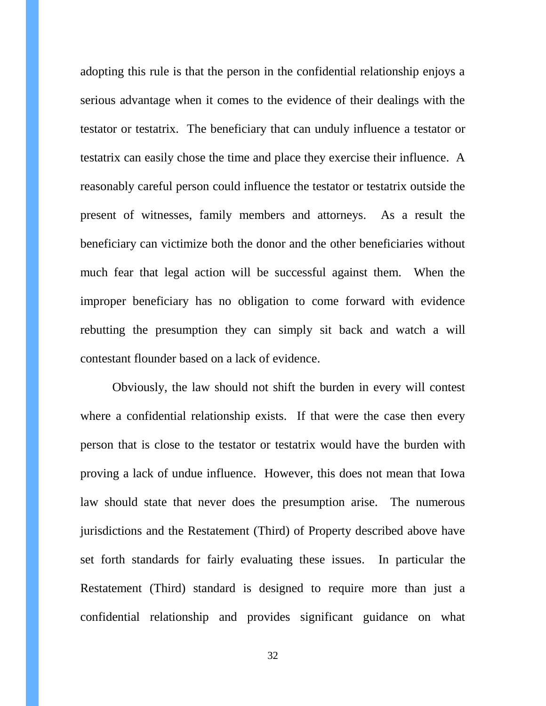adopting this rule is that the person in the confidential relationship enjoys a serious advantage when it comes to the evidence of their dealings with the testator or testatrix. The beneficiary that can unduly influence a testator or testatrix can easily chose the time and place they exercise their influence. A reasonably careful person could influence the testator or testatrix outside the present of witnesses, family members and attorneys. As a result the beneficiary can victimize both the donor and the other beneficiaries without much fear that legal action will be successful against them. When the improper beneficiary has no obligation to come forward with evidence rebutting the presumption they can simply sit back and watch a will contestant flounder based on a lack of evidence.

Obviously, the law should not shift the burden in every will contest where a confidential relationship exists. If that were the case then every person that is close to the testator or testatrix would have the burden with proving a lack of undue influence. However, this does not mean that Iowa law should state that never does the presumption arise. The numerous jurisdictions and the Restatement (Third) of Property described above have set forth standards for fairly evaluating these issues. In particular the Restatement (Third) standard is designed to require more than just a confidential relationship and provides significant guidance on what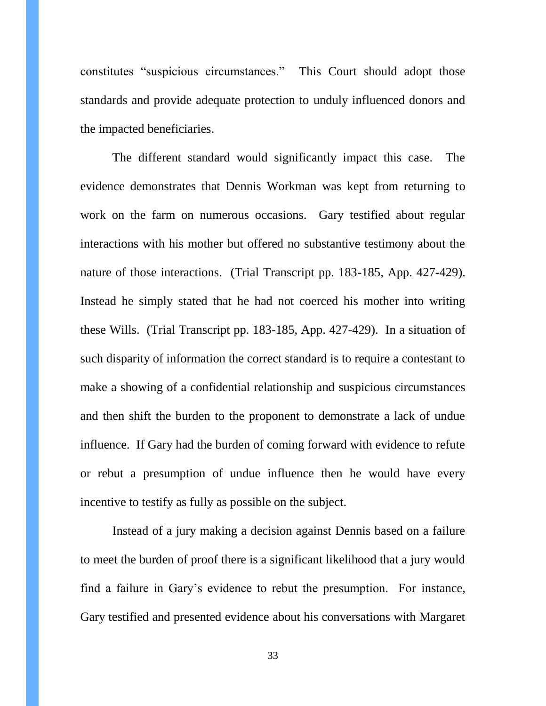constitutes "suspicious circumstances." This Court should adopt those standards and provide adequate protection to unduly influenced donors and the impacted beneficiaries.

The different standard would significantly impact this case. The evidence demonstrates that Dennis Workman was kept from returning to work on the farm on numerous occasions. Gary testified about regular interactions with his mother but offered no substantive testimony about the nature of those interactions. (Trial Transcript pp. 183-185, App. 427-429). Instead he simply stated that he had not coerced his mother into writing these Wills. (Trial Transcript pp. 183-185, App. 427-429). In a situation of such disparity of information the correct standard is to require a contestant to make a showing of a confidential relationship and suspicious circumstances and then shift the burden to the proponent to demonstrate a lack of undue influence. If Gary had the burden of coming forward with evidence to refute or rebut a presumption of undue influence then he would have every incentive to testify as fully as possible on the subject.

Instead of a jury making a decision against Dennis based on a failure to meet the burden of proof there is a significant likelihood that a jury would find a failure in Gary's evidence to rebut the presumption. For instance, Gary testified and presented evidence about his conversations with Margaret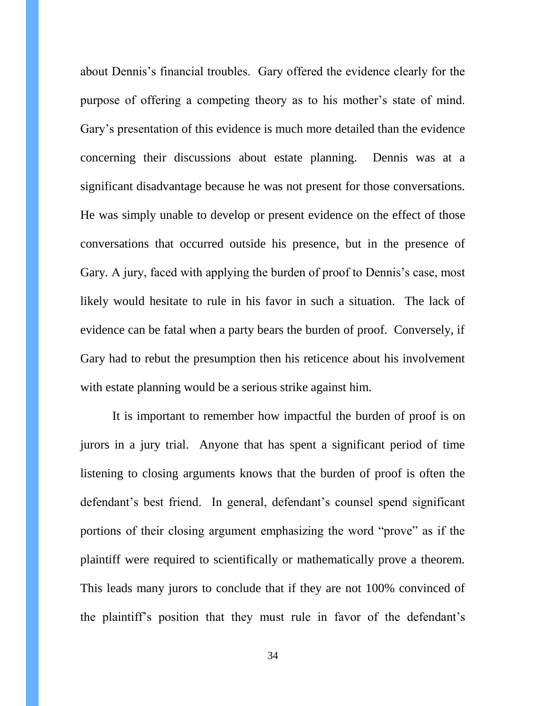about Dennis's financial troubles. Gary offered the evidence clearly for the purpose of offering a competing theory as to his mother's state of mind. Gary's presentation of this evidence is much more detailed than the evidence concerning their discussions about estate planning. Dennis was at a significant disadvantage because he was not present for those conversations. He was simply unable to develop or present evidence on the effect of those conversations that occurred outside his presence, but in the presence of Gary. A jury, faced with applying the burden of proof to Dennis's case, most likely would hesitate to rule in his favor in such a situation. The lack of evidence can be fatal when a party bears the burden of proof. Conversely, if Gary had to rebut the presumption then his reticence about his involvement with estate planning would be a serious strike against him.

It is important to remember how impactful the burden of proof is on jurors in a jury trial. Anyone that has spent a significant period of time listening to closing arguments knows that the burden of proof is often the defendant's best friend. In general, defendant's counsel spend significant portions of their closing argument emphasizing the word "prove" as if the plaintiff were required to scientifically or mathematically prove a theorem. This leads many jurors to conclude that if they are not 100% convinced of the plaintiff's position that they must rule in favor of the defendant's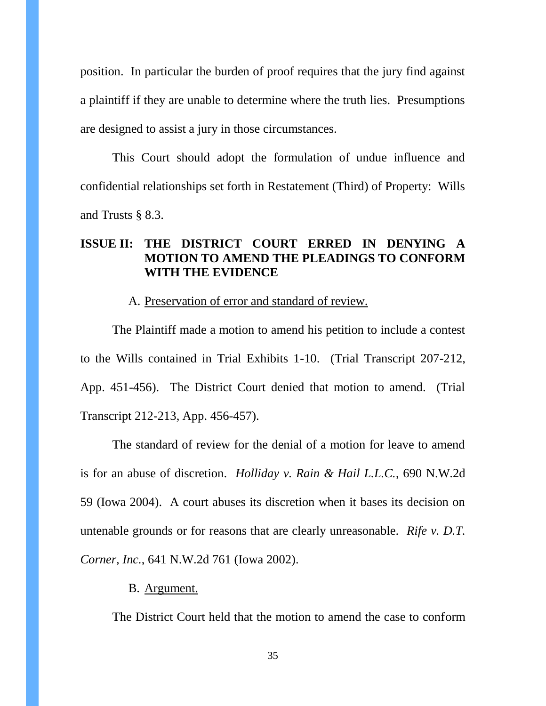position. In particular the burden of proof requires that the jury find against a plaintiff if they are unable to determine where the truth lies. Presumptions are designed to assist a jury in those circumstances.

This Court should adopt the formulation of undue influence and confidential relationships set forth in Restatement (Third) of Property: Wills and Trusts § 8.3.

# **ISSUE II: THE DISTRICT COURT ERRED IN DENYING A MOTION TO AMEND THE PLEADINGS TO CONFORM WITH THE EVIDENCE**

### A. Preservation of error and standard of review.

The Plaintiff made a motion to amend his petition to include a contest to the Wills contained in Trial Exhibits 1-10. (Trial Transcript 207-212, App. 451-456). The District Court denied that motion to amend. (Trial Transcript 212-213, App. 456-457).

The standard of review for the denial of a motion for leave to amend is for an abuse of discretion. *Holliday v. Rain & Hail L.L.C.*, 690 N.W.2d 59 (Iowa 2004). A court abuses its discretion when it bases its decision on untenable grounds or for reasons that are clearly unreasonable. *Rife v. D.T. Corner, Inc.*, 641 N.W.2d 761 (Iowa 2002).

#### B. Argument.

The District Court held that the motion to amend the case to conform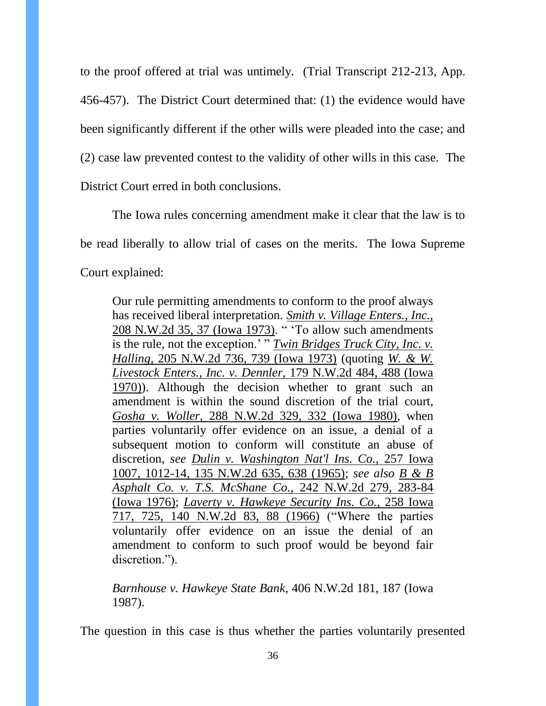to the proof offered at trial was untimely. (Trial Transcript 212-213, App. 456-457). The District Court determined that: (1) the evidence would have been significantly different if the other wills were pleaded into the case; and (2) case law prevented contest to the validity of other wills in this case. The District Court erred in both conclusions.

The Iowa rules concerning amendment make it clear that the law is to be read liberally to allow trial of cases on the merits. The Iowa Supreme Court explained:

Our rule permitting amendments to conform to the proof always has received liberal interpretation. *[Smith v. Village Enters., Inc.,](https://a.next.westlaw.com/Link/Document/FullText?findType=Y&serNum=1973117362&pubNum=595&originatingDoc=Ib6079a64038b11dabf60c1d57ebc853e&refType=RP&fi=co_pp_sp_595_37&originationContext=document&transitionType=DocumentItem&contextData=%28sc.Search%29#co_pp_sp_595_37)* [208 N.W.2d 35, 37 \(Iowa 1973\).](https://a.next.westlaw.com/Link/Document/FullText?findType=Y&serNum=1973117362&pubNum=595&originatingDoc=Ib6079a64038b11dabf60c1d57ebc853e&refType=RP&fi=co_pp_sp_595_37&originationContext=document&transitionType=DocumentItem&contextData=%28sc.Search%29#co_pp_sp_595_37) " 'To allow such amendments is the rule, not the exception.' " *[Twin Bridges Truck City, Inc. v.](https://a.next.westlaw.com/Link/Document/FullText?findType=Y&serNum=1973116873&pubNum=595&originatingDoc=Ib6079a64038b11dabf60c1d57ebc853e&refType=RP&fi=co_pp_sp_595_739&originationContext=document&transitionType=DocumentItem&contextData=%28sc.Search%29#co_pp_sp_595_739)  Halling,* [205 N.W.2d 736, 739 \(Iowa 1973\)](https://a.next.westlaw.com/Link/Document/FullText?findType=Y&serNum=1973116873&pubNum=595&originatingDoc=Ib6079a64038b11dabf60c1d57ebc853e&refType=RP&fi=co_pp_sp_595_739&originationContext=document&transitionType=DocumentItem&contextData=%28sc.Search%29#co_pp_sp_595_739) (quoting *[W. & W.](https://a.next.westlaw.com/Link/Document/FullText?findType=Y&serNum=1970125732&pubNum=595&originatingDoc=Ib6079a64038b11dabf60c1d57ebc853e&refType=RP&fi=co_pp_sp_595_488&originationContext=document&transitionType=DocumentItem&contextData=%28sc.Search%29#co_pp_sp_595_488)  [Livestock Enters., Inc. v. Dennler,](https://a.next.westlaw.com/Link/Document/FullText?findType=Y&serNum=1970125732&pubNum=595&originatingDoc=Ib6079a64038b11dabf60c1d57ebc853e&refType=RP&fi=co_pp_sp_595_488&originationContext=document&transitionType=DocumentItem&contextData=%28sc.Search%29#co_pp_sp_595_488)* 179 N.W.2d 484, 488 (Iowa [1970\)\)](https://a.next.westlaw.com/Link/Document/FullText?findType=Y&serNum=1970125732&pubNum=595&originatingDoc=Ib6079a64038b11dabf60c1d57ebc853e&refType=RP&fi=co_pp_sp_595_488&originationContext=document&transitionType=DocumentItem&contextData=%28sc.Search%29#co_pp_sp_595_488). Although the decision whether to grant such an amendment is within the sound discretion of the trial court, *Gosha v. Woller,* [288 N.W.2d 329, 332 \(Iowa 1980\),](https://a.next.westlaw.com/Link/Document/FullText?findType=Y&serNum=1980103677&pubNum=595&originatingDoc=Ib6079a64038b11dabf60c1d57ebc853e&refType=RP&fi=co_pp_sp_595_332&originationContext=document&transitionType=DocumentItem&contextData=%28sc.Search%29#co_pp_sp_595_332) when parties voluntarily offer evidence on an issue, a denial of a subsequent motion to conform will constitute an abuse of discretion, *see [Dulin v. Washington Nat'l Ins. Co.,](https://a.next.westlaw.com/Link/Document/FullText?findType=Y&serNum=1965118589&pubNum=595&originatingDoc=Ib6079a64038b11dabf60c1d57ebc853e&refType=RP&fi=co_pp_sp_595_638&originationContext=document&transitionType=DocumentItem&contextData=%28sc.Search%29#co_pp_sp_595_638)* 257 Iowa [1007, 1012-14, 135 N.W.2d 635, 638 \(1965\);](https://a.next.westlaw.com/Link/Document/FullText?findType=Y&serNum=1965118589&pubNum=595&originatingDoc=Ib6079a64038b11dabf60c1d57ebc853e&refType=RP&fi=co_pp_sp_595_638&originationContext=document&transitionType=DocumentItem&contextData=%28sc.Search%29#co_pp_sp_595_638) *see also [B & B](https://a.next.westlaw.com/Link/Document/FullText?findType=Y&serNum=1976141956&pubNum=595&originatingDoc=Ib6079a64038b11dabf60c1d57ebc853e&refType=RP&fi=co_pp_sp_595_283&originationContext=document&transitionType=DocumentItem&contextData=%28sc.Search%29#co_pp_sp_595_283)  [Asphalt Co. v. T.S. McShane Co.,](https://a.next.westlaw.com/Link/Document/FullText?findType=Y&serNum=1976141956&pubNum=595&originatingDoc=Ib6079a64038b11dabf60c1d57ebc853e&refType=RP&fi=co_pp_sp_595_283&originationContext=document&transitionType=DocumentItem&contextData=%28sc.Search%29#co_pp_sp_595_283)* 242 N.W.2d 279, 283-84 [\(Iowa 1976\);](https://a.next.westlaw.com/Link/Document/FullText?findType=Y&serNum=1976141956&pubNum=595&originatingDoc=Ib6079a64038b11dabf60c1d57ebc853e&refType=RP&fi=co_pp_sp_595_283&originationContext=document&transitionType=DocumentItem&contextData=%28sc.Search%29#co_pp_sp_595_283) *Laverty v. [Hawkeye Security Ins. Co.,](https://a.next.westlaw.com/Link/Document/FullText?findType=Y&serNum=1966110613&pubNum=595&originatingDoc=Ib6079a64038b11dabf60c1d57ebc853e&refType=RP&fi=co_pp_sp_595_88&originationContext=document&transitionType=DocumentItem&contextData=%28sc.Search%29#co_pp_sp_595_88)* 258 Iowa [717, 725, 140 N.W.2d 83, 88 \(1966\)](https://a.next.westlaw.com/Link/Document/FullText?findType=Y&serNum=1966110613&pubNum=595&originatingDoc=Ib6079a64038b11dabf60c1d57ebc853e&refType=RP&fi=co_pp_sp_595_88&originationContext=document&transitionType=DocumentItem&contextData=%28sc.Search%29#co_pp_sp_595_88) ("Where the parties voluntarily offer evidence on an issue the denial of an amendment to conform to such proof would be beyond fair discretion.").

*Barnhouse v. Hawkeye State Bank*, 406 N.W.2d 181, 187 (Iowa 1987).

The question in this case is thus whether the parties voluntarily presented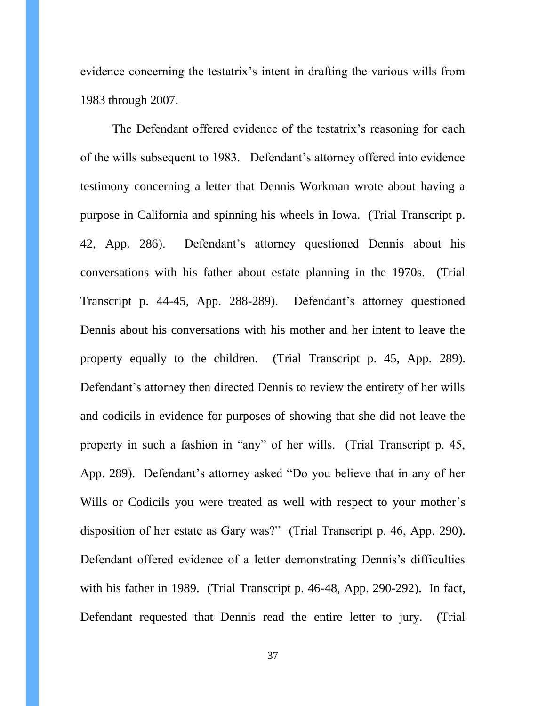evidence concerning the testatrix's intent in drafting the various wills from 1983 through 2007.

The Defendant offered evidence of the testatrix's reasoning for each of the wills subsequent to 1983. Defendant's attorney offered into evidence testimony concerning a letter that Dennis Workman wrote about having a purpose in California and spinning his wheels in Iowa. (Trial Transcript p. 42, App. 286). Defendant's attorney questioned Dennis about his conversations with his father about estate planning in the 1970s. (Trial Transcript p. 44-45, App. 288-289). Defendant's attorney questioned Dennis about his conversations with his mother and her intent to leave the property equally to the children. (Trial Transcript p. 45, App. 289). Defendant's attorney then directed Dennis to review the entirety of her wills and codicils in evidence for purposes of showing that she did not leave the property in such a fashion in "any" of her wills. (Trial Transcript p. 45, App. 289). Defendant's attorney asked "Do you believe that in any of her Wills or Codicils you were treated as well with respect to your mother's disposition of her estate as Gary was?" (Trial Transcript p. 46, App. 290). Defendant offered evidence of a letter demonstrating Dennis's difficulties with his father in 1989. (Trial Transcript p. 46-48, App. 290-292). In fact, Defendant requested that Dennis read the entire letter to jury. (Trial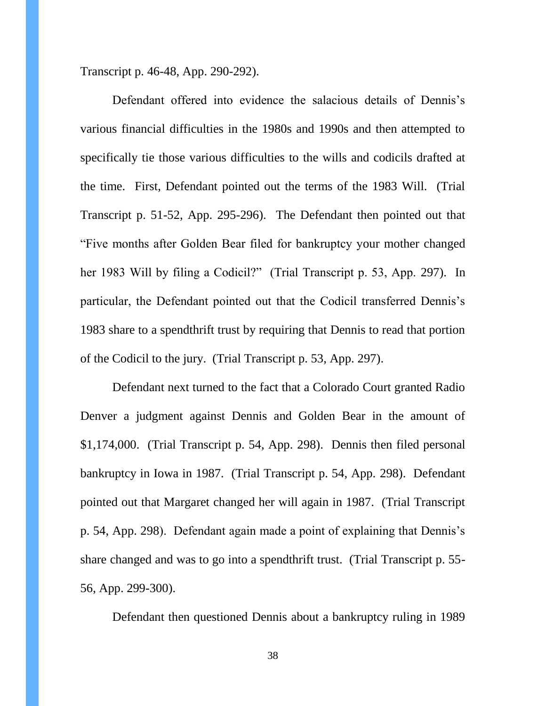Transcript p. 46-48, App. 290-292).

Defendant offered into evidence the salacious details of Dennis's various financial difficulties in the 1980s and 1990s and then attempted to specifically tie those various difficulties to the wills and codicils drafted at the time. First, Defendant pointed out the terms of the 1983 Will. (Trial Transcript p. 51-52, App. 295-296). The Defendant then pointed out that "Five months after Golden Bear filed for bankruptcy your mother changed her 1983 Will by filing a Codicil?" (Trial Transcript p. 53, App. 297). In particular, the Defendant pointed out that the Codicil transferred Dennis's 1983 share to a spendthrift trust by requiring that Dennis to read that portion of the Codicil to the jury. (Trial Transcript p. 53, App. 297).

Defendant next turned to the fact that a Colorado Court granted Radio Denver a judgment against Dennis and Golden Bear in the amount of \$1,174,000. (Trial Transcript p. 54, App. 298). Dennis then filed personal bankruptcy in Iowa in 1987. (Trial Transcript p. 54, App. 298). Defendant pointed out that Margaret changed her will again in 1987. (Trial Transcript p. 54, App. 298). Defendant again made a point of explaining that Dennis's share changed and was to go into a spendthrift trust. (Trial Transcript p. 55- 56, App. 299-300).

Defendant then questioned Dennis about a bankruptcy ruling in 1989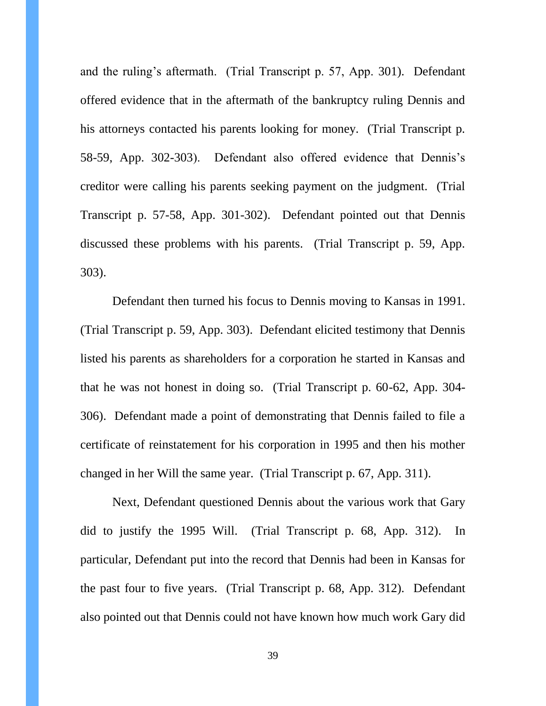and the ruling's aftermath. (Trial Transcript p. 57, App. 301). Defendant offered evidence that in the aftermath of the bankruptcy ruling Dennis and his attorneys contacted his parents looking for money. (Trial Transcript p. 58-59, App. 302-303). Defendant also offered evidence that Dennis's creditor were calling his parents seeking payment on the judgment. (Trial Transcript p. 57-58, App. 301-302). Defendant pointed out that Dennis discussed these problems with his parents. (Trial Transcript p. 59, App. 303).

Defendant then turned his focus to Dennis moving to Kansas in 1991. (Trial Transcript p. 59, App. 303). Defendant elicited testimony that Dennis listed his parents as shareholders for a corporation he started in Kansas and that he was not honest in doing so. (Trial Transcript p. 60-62, App. 304- 306). Defendant made a point of demonstrating that Dennis failed to file a certificate of reinstatement for his corporation in 1995 and then his mother changed in her Will the same year. (Trial Transcript p. 67, App. 311).

Next, Defendant questioned Dennis about the various work that Gary did to justify the 1995 Will. (Trial Transcript p. 68, App. 312). In particular, Defendant put into the record that Dennis had been in Kansas for the past four to five years. (Trial Transcript p. 68, App. 312). Defendant also pointed out that Dennis could not have known how much work Gary did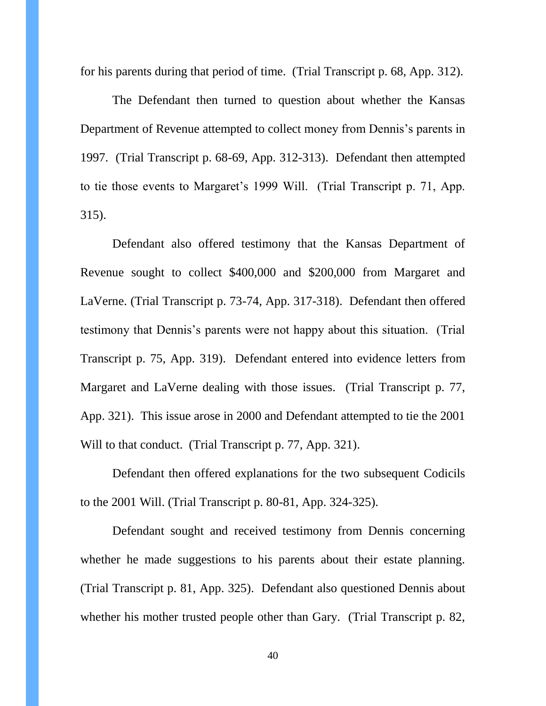for his parents during that period of time. (Trial Transcript p. 68, App. 312).

The Defendant then turned to question about whether the Kansas Department of Revenue attempted to collect money from Dennis's parents in 1997. (Trial Transcript p. 68-69, App. 312-313). Defendant then attempted to tie those events to Margaret's 1999 Will. (Trial Transcript p. 71, App. 315).

Defendant also offered testimony that the Kansas Department of Revenue sought to collect \$400,000 and \$200,000 from Margaret and LaVerne. (Trial Transcript p. 73-74, App. 317-318). Defendant then offered testimony that Dennis's parents were not happy about this situation. (Trial Transcript p. 75, App. 319). Defendant entered into evidence letters from Margaret and LaVerne dealing with those issues. (Trial Transcript p. 77, App. 321). This issue arose in 2000 and Defendant attempted to tie the 2001 Will to that conduct. (Trial Transcript p. 77, App. 321).

Defendant then offered explanations for the two subsequent Codicils to the 2001 Will. (Trial Transcript p. 80-81, App. 324-325).

Defendant sought and received testimony from Dennis concerning whether he made suggestions to his parents about their estate planning. (Trial Transcript p. 81, App. 325). Defendant also questioned Dennis about whether his mother trusted people other than Gary. (Trial Transcript p. 82,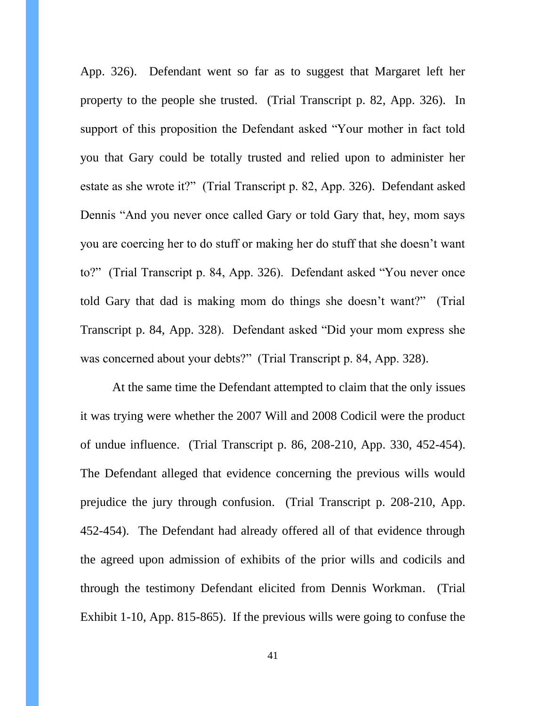App. 326). Defendant went so far as to suggest that Margaret left her property to the people she trusted. (Trial Transcript p. 82, App. 326). In support of this proposition the Defendant asked "Your mother in fact told you that Gary could be totally trusted and relied upon to administer her estate as she wrote it?" (Trial Transcript p. 82, App. 326). Defendant asked Dennis "And you never once called Gary or told Gary that, hey, mom says you are coercing her to do stuff or making her do stuff that she doesn't want to?" (Trial Transcript p. 84, App. 326). Defendant asked "You never once told Gary that dad is making mom do things she doesn't want?" (Trial Transcript p. 84, App. 328). Defendant asked "Did your mom express she was concerned about your debts?" (Trial Transcript p. 84, App. 328).

At the same time the Defendant attempted to claim that the only issues it was trying were whether the 2007 Will and 2008 Codicil were the product of undue influence. (Trial Transcript p. 86, 208-210, App. 330, 452-454). The Defendant alleged that evidence concerning the previous wills would prejudice the jury through confusion. (Trial Transcript p. 208-210, App. 452-454). The Defendant had already offered all of that evidence through the agreed upon admission of exhibits of the prior wills and codicils and through the testimony Defendant elicited from Dennis Workman. (Trial Exhibit 1-10, App. 815-865). If the previous wills were going to confuse the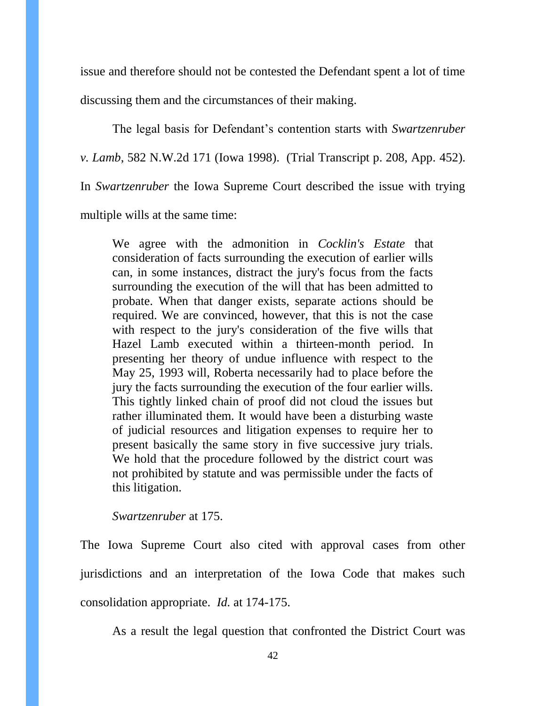issue and therefore should not be contested the Defendant spent a lot of time discussing them and the circumstances of their making.

The legal basis for Defendant's contention starts with *Swartzenruber v. Lamb*, 582 N.W.2d 171 (Iowa 1998). (Trial Transcript p. 208, App. 452). In *Swartzenruber* the Iowa Supreme Court described the issue with trying multiple wills at the same time:

We agree with the admonition in *Cocklin's Estate* that consideration of facts surrounding the execution of earlier wills can, in some instances, distract the jury's focus from the facts surrounding the execution of the will that has been admitted to probate. When that danger exists, separate actions should be required. We are convinced, however, that this is not the case with respect to the jury's consideration of the five wills that Hazel Lamb executed within a thirteen-month period. In presenting her theory of undue influence with respect to the May 25, 1993 will, Roberta necessarily had to place before the jury the facts surrounding the execution of the four earlier wills. This tightly linked chain of proof did not cloud the issues but rather illuminated them. It would have been a disturbing waste of judicial resources and litigation expenses to require her to present basically the same story in five successive jury trials. We hold that the procedure followed by the district court was not prohibited by statute and was permissible under the facts of this litigation.

#### *Swartzenruber* at 175.

The Iowa Supreme Court also cited with approval cases from other jurisdictions and an interpretation of the Iowa Code that makes such consolidation appropriate. *Id.* at 174-175.

As a result the legal question that confronted the District Court was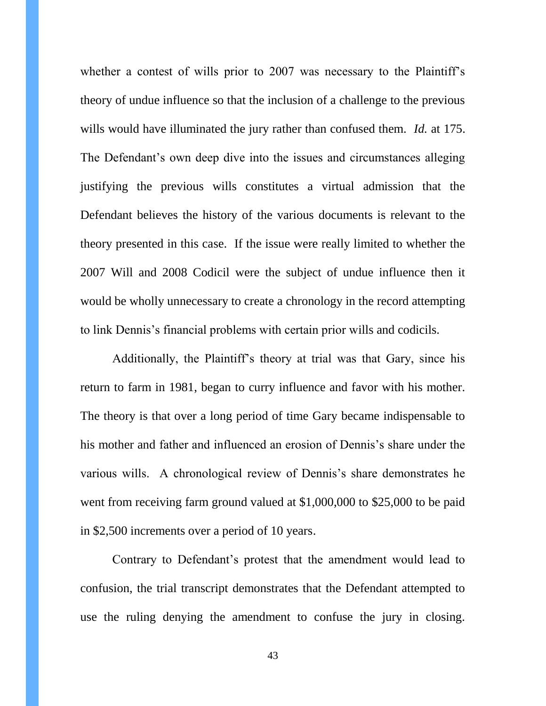whether a contest of wills prior to 2007 was necessary to the Plaintiff's theory of undue influence so that the inclusion of a challenge to the previous wills would have illuminated the jury rather than confused them. *Id.* at 175. The Defendant's own deep dive into the issues and circumstances alleging justifying the previous wills constitutes a virtual admission that the Defendant believes the history of the various documents is relevant to the theory presented in this case. If the issue were really limited to whether the 2007 Will and 2008 Codicil were the subject of undue influence then it would be wholly unnecessary to create a chronology in the record attempting to link Dennis's financial problems with certain prior wills and codicils.

Additionally, the Plaintiff's theory at trial was that Gary, since his return to farm in 1981, began to curry influence and favor with his mother. The theory is that over a long period of time Gary became indispensable to his mother and father and influenced an erosion of Dennis's share under the various wills. A chronological review of Dennis's share demonstrates he went from receiving farm ground valued at \$1,000,000 to \$25,000 to be paid in \$2,500 increments over a period of 10 years.

Contrary to Defendant's protest that the amendment would lead to confusion, the trial transcript demonstrates that the Defendant attempted to use the ruling denying the amendment to confuse the jury in closing.

43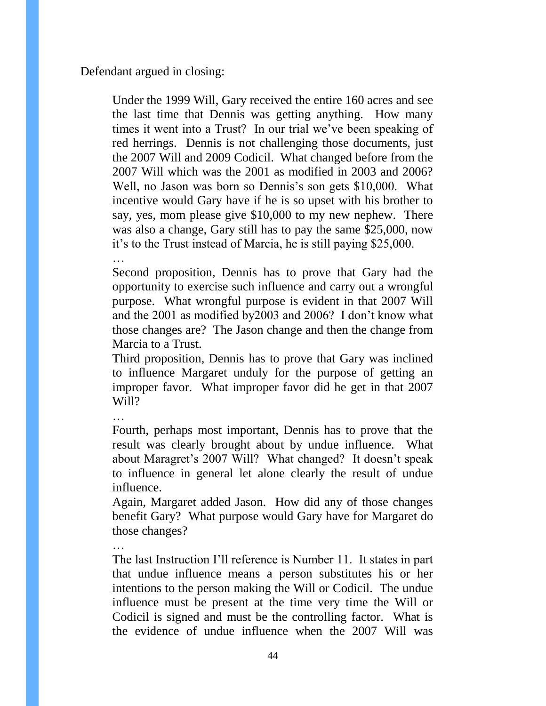Defendant argued in closing:

Under the 1999 Will, Gary received the entire 160 acres and see the last time that Dennis was getting anything. How many times it went into a Trust? In our trial we've been speaking of red herrings. Dennis is not challenging those documents, just the 2007 Will and 2009 Codicil. What changed before from the 2007 Will which was the 2001 as modified in 2003 and 2006? Well, no Jason was born so Dennis's son gets \$10,000. What incentive would Gary have if he is so upset with his brother to say, yes, mom please give \$10,000 to my new nephew. There was also a change, Gary still has to pay the same \$25,000, now it's to the Trust instead of Marcia, he is still paying \$25,000.

…

Second proposition, Dennis has to prove that Gary had the opportunity to exercise such influence and carry out a wrongful purpose. What wrongful purpose is evident in that 2007 Will and the 2001 as modified by2003 and 2006? I don't know what those changes are? The Jason change and then the change from Marcia to a Trust.

Third proposition, Dennis has to prove that Gary was inclined to influence Margaret unduly for the purpose of getting an improper favor. What improper favor did he get in that 2007 Will?

Fourth, perhaps most important, Dennis has to prove that the result was clearly brought about by undue influence. What about Maragret's 2007 Will? What changed? It doesn't speak to influence in general let alone clearly the result of undue influence.

Again, Margaret added Jason. How did any of those changes benefit Gary? What purpose would Gary have for Margaret do those changes?

The last Instruction I'll reference is Number 11. It states in part that undue influence means a person substitutes his or her intentions to the person making the Will or Codicil. The undue influence must be present at the time very time the Will or Codicil is signed and must be the controlling factor. What is the evidence of undue influence when the 2007 Will was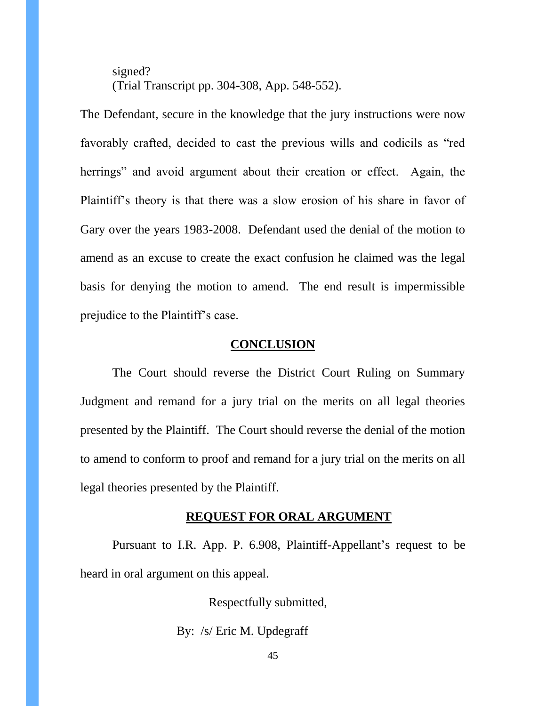signed? (Trial Transcript pp. 304-308, App. 548-552).

The Defendant, secure in the knowledge that the jury instructions were now favorably crafted, decided to cast the previous wills and codicils as "red herrings" and avoid argument about their creation or effect. Again, the Plaintiff's theory is that there was a slow erosion of his share in favor of Gary over the years 1983-2008. Defendant used the denial of the motion to amend as an excuse to create the exact confusion he claimed was the legal basis for denying the motion to amend. The end result is impermissible prejudice to the Plaintiff's case.

### **CONCLUSION**

The Court should reverse the District Court Ruling on Summary Judgment and remand for a jury trial on the merits on all legal theories presented by the Plaintiff. The Court should reverse the denial of the motion to amend to conform to proof and remand for a jury trial on the merits on all legal theories presented by the Plaintiff.

#### **REQUEST FOR ORAL ARGUMENT**

Pursuant to I.R. App. P. 6.908, Plaintiff-Appellant's request to be heard in oral argument on this appeal.

Respectfully submitted,

#### By: /s/ Eric M. Updegraff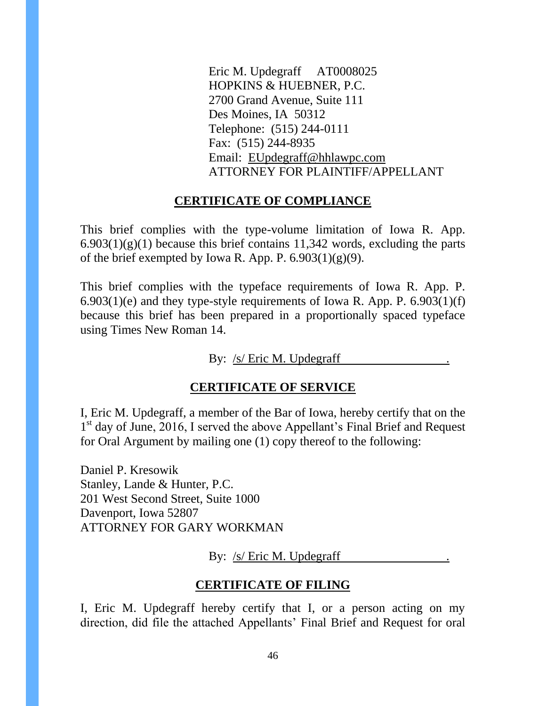Eric M. Updegraff AT0008025 HOPKINS & HUEBNER, P.C. 2700 Grand Avenue, Suite 111 Des Moines, IA 50312 Telephone: (515) 244-0111 Fax: (515) 244-8935 Email: [EUpdegraff@hhlawpc.com](mailto:EUpdegraff@hhlawpc.com) ATTORNEY FOR PLAINTIFF/APPELLANT

### **CERTIFICATE OF COMPLIANCE**

This brief complies with the type-volume limitation of Iowa R. App.  $6.903(1)(g)(1)$  because this brief contains 11,342 words, excluding the parts of the brief exempted by Iowa R. App. P.  $6.903(1)(g)(9)$ .

This brief complies with the typeface requirements of Iowa R. App. P.  $6.903(1)(e)$  and they type-style requirements of Iowa R. App. P.  $6.903(1)(f)$ because this brief has been prepared in a proportionally spaced typeface using Times New Roman 14.

By: /s/ Eric M. Updegraff

### **CERTIFICATE OF SERVICE**

I, Eric M. Updegraff, a member of the Bar of Iowa, hereby certify that on the 1<sup>st</sup> day of June, 2016, I served the above Appellant's Final Brief and Request for Oral Argument by mailing one (1) copy thereof to the following:

Daniel P. Kresowik Stanley, Lande & Hunter, P.C. 201 West Second Street, Suite 1000 Davenport, Iowa 52807 ATTORNEY FOR GARY WORKMAN

By: /s/ Eric M. Updegraff

# **CERTIFICATE OF FILING**

I, Eric M. Updegraff hereby certify that I, or a person acting on my direction, did file the attached Appellants' Final Brief and Request for oral